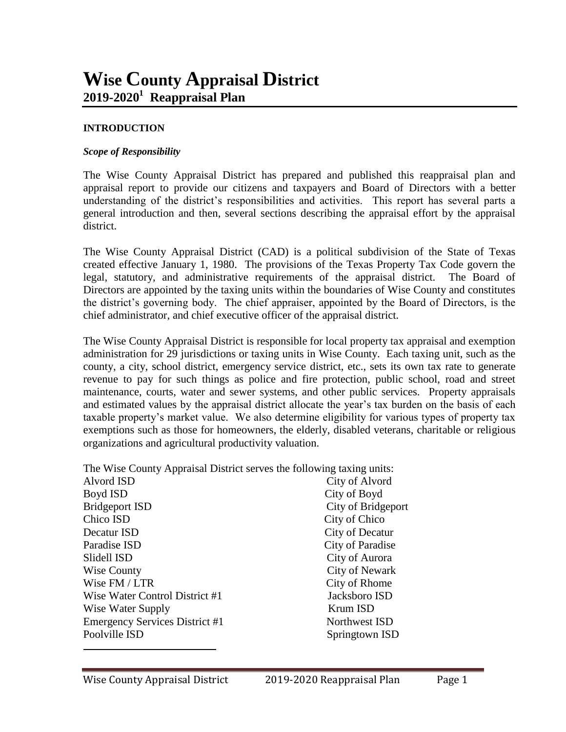#### **INTRODUCTION**

#### *Scope of Responsibility*

The Wise County Appraisal District has prepared and published this reappraisal plan and appraisal report to provide our citizens and taxpayers and Board of Directors with a better understanding of the district's responsibilities and activities. This report has several parts a general introduction and then, several sections describing the appraisal effort by the appraisal district.

The Wise County Appraisal District (CAD) is a political subdivision of the State of Texas created effective January 1, 1980. The provisions of the Texas Property Tax Code govern the legal, statutory, and administrative requirements of the appraisal district. The Board of Directors are appointed by the taxing units within the boundaries of Wise County and constitutes the district's governing body. The chief appraiser, appointed by the Board of Directors, is the chief administrator, and chief executive officer of the appraisal district.

The Wise County Appraisal District is responsible for local property tax appraisal and exemption administration for 29 jurisdictions or taxing units in Wise County. Each taxing unit, such as the county, a city, school district, emergency service district, etc., sets its own tax rate to generate revenue to pay for such things as police and fire protection, public school, road and street maintenance, courts, water and sewer systems, and other public services. Property appraisals and estimated values by the appraisal district allocate the year's tax burden on the basis of each taxable property's market value. We also determine eligibility for various types of property tax exemptions such as those for homeowners, the elderly, disabled veterans, charitable or religious organizations and agricultural productivity valuation.

The Wise County Appraisal District serves the following taxing units:

| Alvord ISD                            | City of Alvord     |
|---------------------------------------|--------------------|
| Boyd ISD                              | City of Boyd       |
| <b>Bridgeport ISD</b>                 | City of Bridgeport |
| Chico ISD                             | City of Chico      |
| Decatur ISD                           | City of Decatur    |
| Paradise ISD                          | City of Paradise   |
| Slidell ISD                           | City of Aurora     |
| Wise County                           | City of Newark     |
| Wise FM / LTR                         | City of Rhome      |
| Wise Water Control District #1        | Jacksboro ISD      |
| Wise Water Supply                     | Krum ISD           |
| <b>Emergency Services District #1</b> | Northwest ISD      |
| Poolville ISD                         | Springtown ISD     |
|                                       |                    |

 $\overline{a}$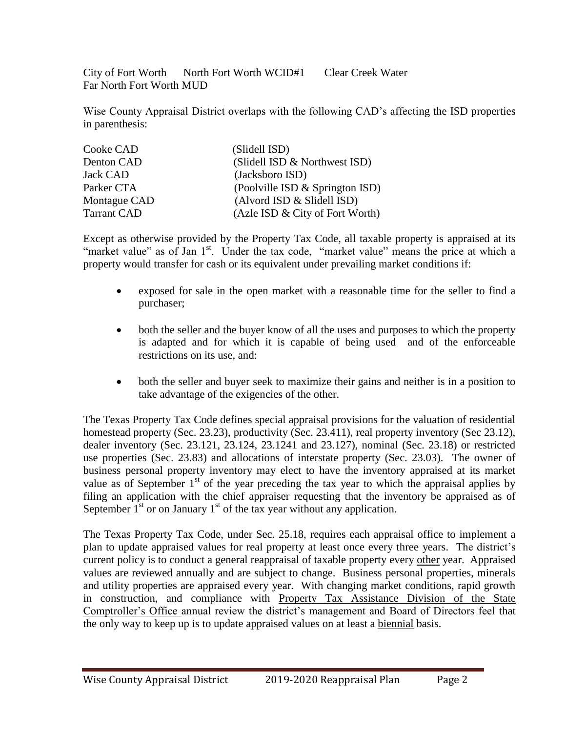City of Fort Worth North Fort Worth WCID#1 Clear Creek Water Far North Fort Worth MUD

Wise County Appraisal District overlaps with the following CAD's affecting the ISD properties in parenthesis:

| Cooke CAD          | (Slidell ISD)                   |
|--------------------|---------------------------------|
| Denton CAD         | (Slidell ISD & Northwest ISD)   |
| <b>Jack CAD</b>    | (Jacksboro ISD)                 |
| Parker CTA         | (Poolville ISD & Springton ISD) |
| Montague CAD       | (Alvord ISD & Slidell ISD)      |
| <b>Tarrant CAD</b> | (Azle ISD & City of Fort Worth) |

Except as otherwise provided by the Property Tax Code, all taxable property is appraised at its "market value" as of Jan 1<sup>st</sup>. Under the tax code, "market value" means the price at which a property would transfer for cash or its equivalent under prevailing market conditions if:

- exposed for sale in the open market with a reasonable time for the seller to find a purchaser;
- both the seller and the buyer know of all the uses and purposes to which the property is adapted and for which it is capable of being used and of the enforceable restrictions on its use, and:
- both the seller and buyer seek to maximize their gains and neither is in a position to take advantage of the exigencies of the other.

The Texas Property Tax Code defines special appraisal provisions for the valuation of residential homestead property (Sec. 23.23), productivity (Sec. 23.411), real property inventory (Sec 23.12), dealer inventory (Sec. 23.121, 23.124, 23.1241 and 23.127), nominal (Sec. 23.18) or restricted use properties (Sec. 23.83) and allocations of interstate property (Sec. 23.03). The owner of business personal property inventory may elect to have the inventory appraised at its market value as of September  $1<sup>st</sup>$  of the year preceding the tax year to which the appraisal applies by filing an application with the chief appraiser requesting that the inventory be appraised as of September  $1<sup>st</sup>$  or on January  $1<sup>st</sup>$  of the tax year without any application.

The Texas Property Tax Code, under Sec. 25.18, requires each appraisal office to implement a plan to update appraised values for real property at least once every three years. The district's current policy is to conduct a general reappraisal of taxable property every other year. Appraised values are reviewed annually and are subject to change. Business personal properties, minerals and utility properties are appraised every year. With changing market conditions, rapid growth in construction, and compliance with Property Tax Assistance Division of the State Comptroller's Office annual review the district's management and Board of Directors feel that the only way to keep up is to update appraised values on at least a biennial basis.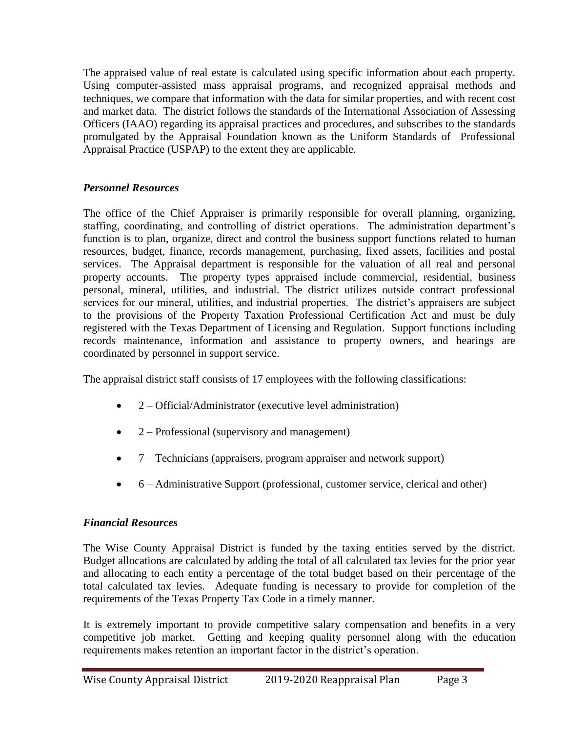The appraised value of real estate is calculated using specific information about each property. Using computer-assisted mass appraisal programs, and recognized appraisal methods and techniques, we compare that information with the data for similar properties, and with recent cost and market data. The district follows the standards of the International Association of Assessing Officers (IAAO) regarding its appraisal practices and procedures, and subscribes to the standards promulgated by the Appraisal Foundation known as the Uniform Standards of Professional Appraisal Practice (USPAP) to the extent they are applicable.

## *Personnel Resources*

The office of the Chief Appraiser is primarily responsible for overall planning, organizing, staffing, coordinating, and controlling of district operations. The administration department's function is to plan, organize, direct and control the business support functions related to human resources, budget, finance, records management, purchasing, fixed assets, facilities and postal services. The Appraisal department is responsible for the valuation of all real and personal property accounts. The property types appraised include commercial, residential, business personal, mineral, utilities, and industrial. The district utilizes outside contract professional services for our mineral, utilities, and industrial properties. The district's appraisers are subject to the provisions of the Property Taxation Professional Certification Act and must be duly registered with the Texas Department of Licensing and Regulation. Support functions including records maintenance, information and assistance to property owners, and hearings are coordinated by personnel in support service.

The appraisal district staff consists of 17 employees with the following classifications:

- 2 Official/Administrator (executive level administration)
- 2 Professional (supervisory and management)
- $\bullet$  7 Technicians (appraisers, program appraiser and network support)
- 6 Administrative Support (professional, customer service, clerical and other)

## *Financial Resources*

The Wise County Appraisal District is funded by the taxing entities served by the district. Budget allocations are calculated by adding the total of all calculated tax levies for the prior year and allocating to each entity a percentage of the total budget based on their percentage of the total calculated tax levies. Adequate funding is necessary to provide for completion of the requirements of the Texas Property Tax Code in a timely manner.

It is extremely important to provide competitive salary compensation and benefits in a very competitive job market. Getting and keeping quality personnel along with the education requirements makes retention an important factor in the district's operation.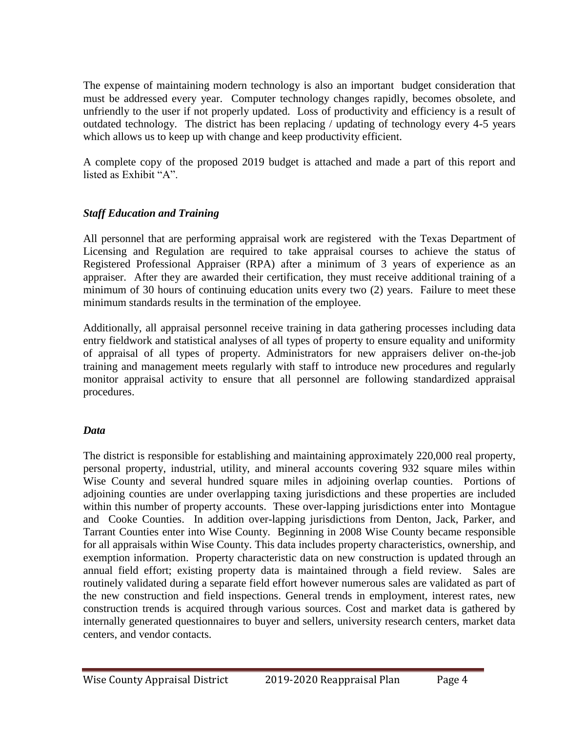The expense of maintaining modern technology is also an important budget consideration that must be addressed every year. Computer technology changes rapidly, becomes obsolete, and unfriendly to the user if not properly updated. Loss of productivity and efficiency is a result of outdated technology. The district has been replacing / updating of technology every 4-5 years which allows us to keep up with change and keep productivity efficient.

A complete copy of the proposed 2019 budget is attached and made a part of this report and listed as Exhibit "A".

## *Staff Education and Training*

All personnel that are performing appraisal work are registered with the Texas Department of Licensing and Regulation are required to take appraisal courses to achieve the status of Registered Professional Appraiser (RPA) after a minimum of 3 years of experience as an appraiser. After they are awarded their certification, they must receive additional training of a minimum of 30 hours of continuing education units every two (2) years. Failure to meet these minimum standards results in the termination of the employee.

Additionally, all appraisal personnel receive training in data gathering processes including data entry fieldwork and statistical analyses of all types of property to ensure equality and uniformity of appraisal of all types of property. Administrators for new appraisers deliver on-the-job training and management meets regularly with staff to introduce new procedures and regularly monitor appraisal activity to ensure that all personnel are following standardized appraisal procedures.

## *Data*

The district is responsible for establishing and maintaining approximately 220,000 real property, personal property, industrial, utility, and mineral accounts covering 932 square miles within Wise County and several hundred square miles in adjoining overlap counties. Portions of adjoining counties are under overlapping taxing jurisdictions and these properties are included within this number of property accounts. These over-lapping jurisdictions enter into Montague and Cooke Counties. In addition over-lapping jurisdictions from Denton, Jack, Parker, and Tarrant Counties enter into Wise County. Beginning in 2008 Wise County became responsible for all appraisals within Wise County. This data includes property characteristics, ownership, and exemption information. Property characteristic data on new construction is updated through an annual field effort; existing property data is maintained through a field review. Sales are routinely validated during a separate field effort however numerous sales are validated as part of the new construction and field inspections. General trends in employment, interest rates, new construction trends is acquired through various sources. Cost and market data is gathered by internally generated questionnaires to buyer and sellers, university research centers, market data centers, and vendor contacts.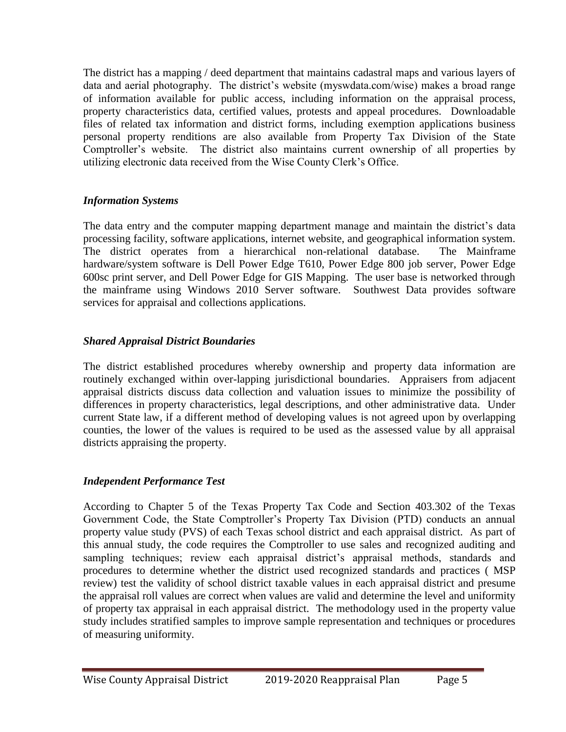The district has a mapping / deed department that maintains cadastral maps and various layers of data and aerial photography. The district's website (myswdata.com/wise) makes a broad range of information available for public access, including information on the appraisal process, property characteristics data, certified values, protests and appeal procedures. Downloadable files of related tax information and district forms, including exemption applications business personal property renditions are also available from Property Tax Division of the State Comptroller's website. The district also maintains current ownership of all properties by utilizing electronic data received from the Wise County Clerk's Office.

### *Information Systems*

The data entry and the computer mapping department manage and maintain the district's data processing facility, software applications, internet website, and geographical information system. The district operates from a hierarchical non-relational database. The Mainframe hardware/system software is Dell Power Edge T610, Power Edge 800 job server, Power Edge 600sc print server, and Dell Power Edge for GIS Mapping. The user base is networked through the mainframe using Windows 2010 Server software. Southwest Data provides software services for appraisal and collections applications.

## *Shared Appraisal District Boundaries*

The district established procedures whereby ownership and property data information are routinely exchanged within over-lapping jurisdictional boundaries. Appraisers from adjacent appraisal districts discuss data collection and valuation issues to minimize the possibility of differences in property characteristics, legal descriptions, and other administrative data. Under current State law, if a different method of developing values is not agreed upon by overlapping counties, the lower of the values is required to be used as the assessed value by all appraisal districts appraising the property.

## *Independent Performance Test*

According to Chapter 5 of the Texas Property Tax Code and Section 403.302 of the Texas Government Code, the State Comptroller's Property Tax Division (PTD) conducts an annual property value study (PVS) of each Texas school district and each appraisal district. As part of this annual study, the code requires the Comptroller to use sales and recognized auditing and sampling techniques; review each appraisal district's appraisal methods, standards and procedures to determine whether the district used recognized standards and practices ( MSP review) test the validity of school district taxable values in each appraisal district and presume the appraisal roll values are correct when values are valid and determine the level and uniformity of property tax appraisal in each appraisal district. The methodology used in the property value study includes stratified samples to improve sample representation and techniques or procedures of measuring uniformity.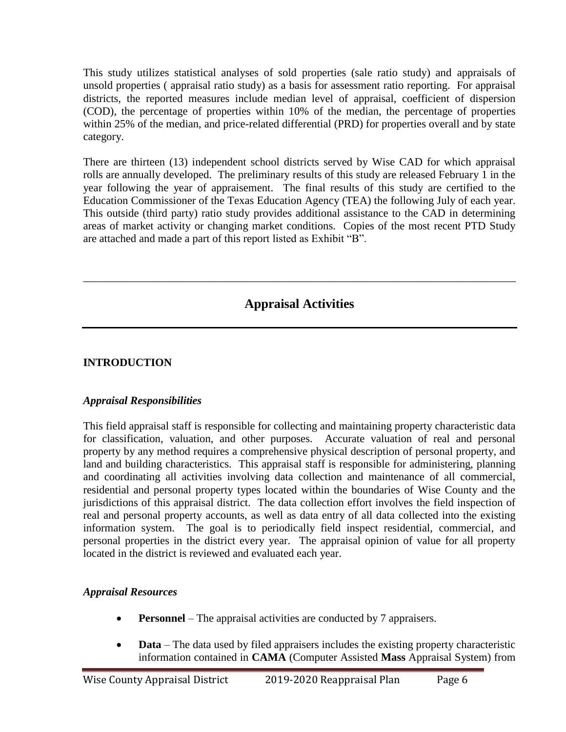This study utilizes statistical analyses of sold properties (sale ratio study) and appraisals of unsold properties ( appraisal ratio study) as a basis for assessment ratio reporting. For appraisal districts, the reported measures include median level of appraisal, coefficient of dispersion (COD), the percentage of properties within 10% of the median, the percentage of properties within 25% of the median, and price-related differential (PRD) for properties overall and by state category.

There are thirteen (13) independent school districts served by Wise CAD for which appraisal rolls are annually developed. The preliminary results of this study are released February 1 in the year following the year of appraisement. The final results of this study are certified to the Education Commissioner of the Texas Education Agency (TEA) the following July of each year. This outside (third party) ratio study provides additional assistance to the CAD in determining areas of market activity or changing market conditions. Copies of the most recent PTD Study are attached and made a part of this report listed as Exhibit "B".

# **Appraisal Activities**

\_\_\_\_\_\_\_\_\_\_\_\_\_\_\_\_\_\_\_\_\_\_\_\_\_\_\_\_\_\_\_\_\_\_\_\_\_\_\_\_\_\_\_\_\_\_\_\_\_\_\_\_\_\_\_\_\_\_\_\_\_\_\_\_\_\_\_\_\_\_\_\_\_\_\_\_\_\_

## **INTRODUCTION**

## *Appraisal Responsibilities*

This field appraisal staff is responsible for collecting and maintaining property characteristic data for classification, valuation, and other purposes. Accurate valuation of real and personal property by any method requires a comprehensive physical description of personal property, and land and building characteristics. This appraisal staff is responsible for administering, planning and coordinating all activities involving data collection and maintenance of all commercial, residential and personal property types located within the boundaries of Wise County and the jurisdictions of this appraisal district. The data collection effort involves the field inspection of real and personal property accounts, as well as data entry of all data collected into the existing information system. The goal is to periodically field inspect residential, commercial, and personal properties in the district every year. The appraisal opinion of value for all property located in the district is reviewed and evaluated each year.

## *Appraisal Resources*

- **Personnel** The appraisal activities are conducted by 7 appraisers.
- **Data** The data used by filed appraisers includes the existing property characteristic information contained in **CAMA** (Computer Assisted **Mass** Appraisal System) from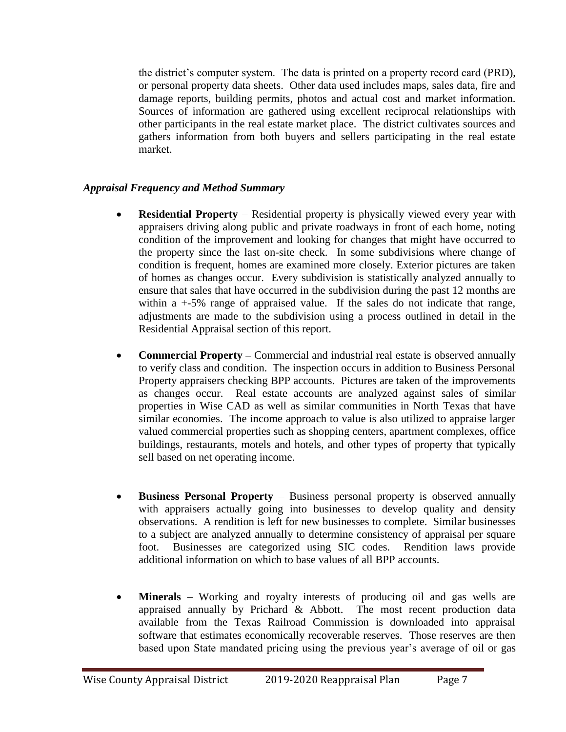the district's computer system. The data is printed on a property record card (PRD), or personal property data sheets. Other data used includes maps, sales data, fire and damage reports, building permits, photos and actual cost and market information. Sources of information are gathered using excellent reciprocal relationships with other participants in the real estate market place. The district cultivates sources and gathers information from both buyers and sellers participating in the real estate market.

### *Appraisal Frequency and Method Summary*

- **Residential Property** Residential property is physically viewed every year with appraisers driving along public and private roadways in front of each home, noting condition of the improvement and looking for changes that might have occurred to the property since the last on-site check. In some subdivisions where change of condition is frequent, homes are examined more closely. Exterior pictures are taken of homes as changes occur. Every subdivision is statistically analyzed annually to ensure that sales that have occurred in the subdivision during the past 12 months are within a  $+5\%$  range of appraised value. If the sales do not indicate that range, adjustments are made to the subdivision using a process outlined in detail in the Residential Appraisal section of this report.
- **Commercial Property –** Commercial and industrial real estate is observed annually to verify class and condition. The inspection occurs in addition to Business Personal Property appraisers checking BPP accounts. Pictures are taken of the improvements as changes occur. Real estate accounts are analyzed against sales of similar properties in Wise CAD as well as similar communities in North Texas that have similar economies. The income approach to value is also utilized to appraise larger valued commercial properties such as shopping centers, apartment complexes, office buildings, restaurants, motels and hotels, and other types of property that typically sell based on net operating income.
- **Business Personal Property** Business personal property is observed annually with appraisers actually going into businesses to develop quality and density observations. A rendition is left for new businesses to complete. Similar businesses to a subject are analyzed annually to determine consistency of appraisal per square foot. Businesses are categorized using SIC codes. Rendition laws provide additional information on which to base values of all BPP accounts.
- **Minerals** Working and royalty interests of producing oil and gas wells are appraised annually by Prichard & Abbott. The most recent production data available from the Texas Railroad Commission is downloaded into appraisal software that estimates economically recoverable reserves. Those reserves are then based upon State mandated pricing using the previous year's average of oil or gas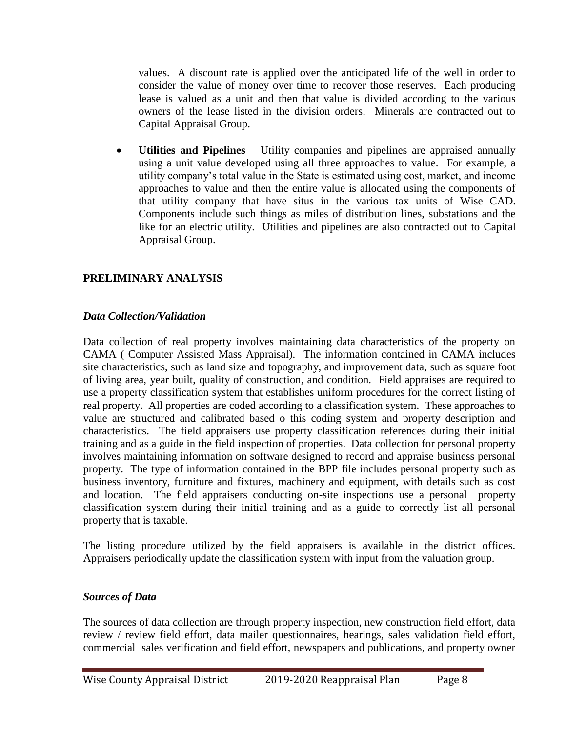values. A discount rate is applied over the anticipated life of the well in order to consider the value of money over time to recover those reserves. Each producing lease is valued as a unit and then that value is divided according to the various owners of the lease listed in the division orders. Minerals are contracted out to Capital Appraisal Group.

 **Utilities and Pipelines** – Utility companies and pipelines are appraised annually using a unit value developed using all three approaches to value. For example, a utility company's total value in the State is estimated using cost, market, and income approaches to value and then the entire value is allocated using the components of that utility company that have situs in the various tax units of Wise CAD. Components include such things as miles of distribution lines, substations and the like for an electric utility. Utilities and pipelines are also contracted out to Capital Appraisal Group.

### **PRELIMINARY ANALYSIS**

### *Data Collection/Validation*

Data collection of real property involves maintaining data characteristics of the property on CAMA ( Computer Assisted Mass Appraisal). The information contained in CAMA includes site characteristics, such as land size and topography, and improvement data, such as square foot of living area, year built, quality of construction, and condition. Field appraises are required to use a property classification system that establishes uniform procedures for the correct listing of real property. All properties are coded according to a classification system. These approaches to value are structured and calibrated based o this coding system and property description and characteristics. The field appraisers use property classification references during their initial training and as a guide in the field inspection of properties. Data collection for personal property involves maintaining information on software designed to record and appraise business personal property. The type of information contained in the BPP file includes personal property such as business inventory, furniture and fixtures, machinery and equipment, with details such as cost and location. The field appraisers conducting on-site inspections use a personal property classification system during their initial training and as a guide to correctly list all personal property that is taxable.

The listing procedure utilized by the field appraisers is available in the district offices. Appraisers periodically update the classification system with input from the valuation group.

#### *Sources of Data*

The sources of data collection are through property inspection, new construction field effort, data review / review field effort, data mailer questionnaires, hearings, sales validation field effort, commercial sales verification and field effort, newspapers and publications, and property owner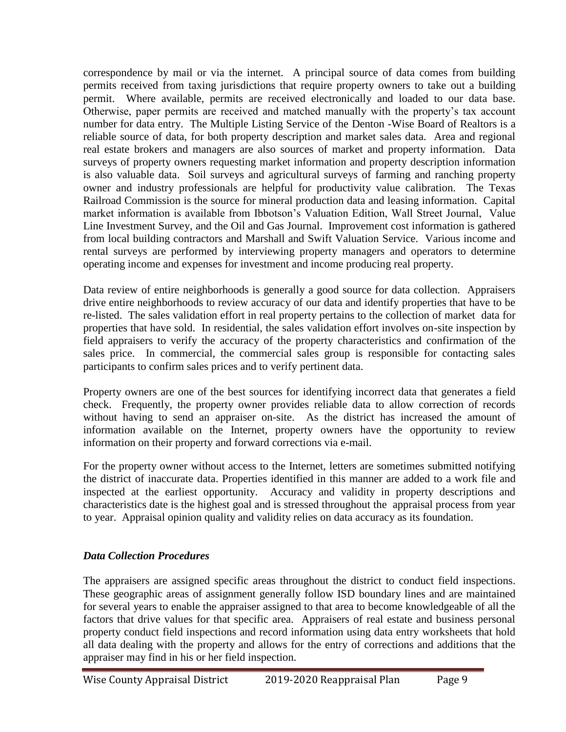correspondence by mail or via the internet. A principal source of data comes from building permits received from taxing jurisdictions that require property owners to take out a building permit. Where available, permits are received electronically and loaded to our data base. Otherwise, paper permits are received and matched manually with the property's tax account number for data entry. The Multiple Listing Service of the Denton -Wise Board of Realtors is a reliable source of data, for both property description and market sales data. Area and regional real estate brokers and managers are also sources of market and property information. Data surveys of property owners requesting market information and property description information is also valuable data. Soil surveys and agricultural surveys of farming and ranching property owner and industry professionals are helpful for productivity value calibration. The Texas Railroad Commission is the source for mineral production data and leasing information. Capital market information is available from Ibbotson's Valuation Edition, Wall Street Journal, Value Line Investment Survey, and the Oil and Gas Journal. Improvement cost information is gathered from local building contractors and Marshall and Swift Valuation Service. Various income and rental surveys are performed by interviewing property managers and operators to determine operating income and expenses for investment and income producing real property.

Data review of entire neighborhoods is generally a good source for data collection. Appraisers drive entire neighborhoods to review accuracy of our data and identify properties that have to be re-listed. The sales validation effort in real property pertains to the collection of market data for properties that have sold. In residential, the sales validation effort involves on-site inspection by field appraisers to verify the accuracy of the property characteristics and confirmation of the sales price. In commercial, the commercial sales group is responsible for contacting sales participants to confirm sales prices and to verify pertinent data.

Property owners are one of the best sources for identifying incorrect data that generates a field check. Frequently, the property owner provides reliable data to allow correction of records without having to send an appraiser on-site. As the district has increased the amount of information available on the Internet, property owners have the opportunity to review information on their property and forward corrections via e-mail.

For the property owner without access to the Internet, letters are sometimes submitted notifying the district of inaccurate data. Properties identified in this manner are added to a work file and inspected at the earliest opportunity. Accuracy and validity in property descriptions and characteristics date is the highest goal and is stressed throughout the appraisal process from year to year. Appraisal opinion quality and validity relies on data accuracy as its foundation.

### *Data Collection Procedures*

The appraisers are assigned specific areas throughout the district to conduct field inspections. These geographic areas of assignment generally follow ISD boundary lines and are maintained for several years to enable the appraiser assigned to that area to become knowledgeable of all the factors that drive values for that specific area. Appraisers of real estate and business personal property conduct field inspections and record information using data entry worksheets that hold all data dealing with the property and allows for the entry of corrections and additions that the appraiser may find in his or her field inspection.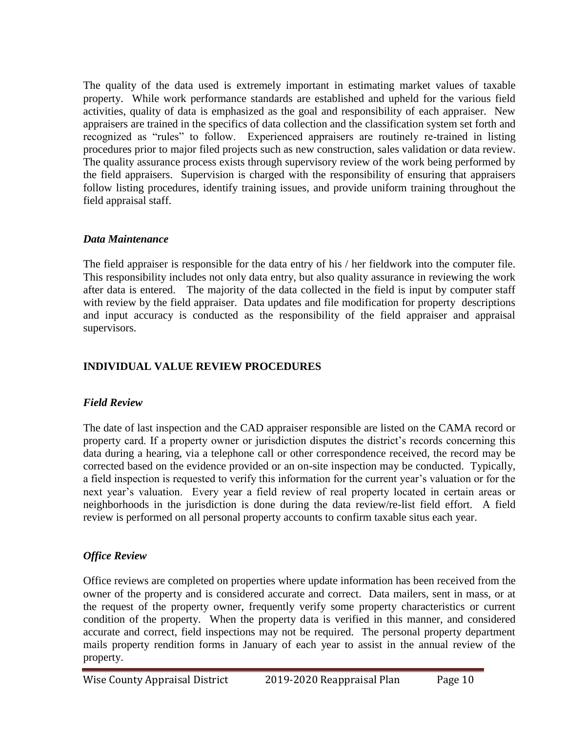The quality of the data used is extremely important in estimating market values of taxable property. While work performance standards are established and upheld for the various field activities, quality of data is emphasized as the goal and responsibility of each appraiser. New appraisers are trained in the specifics of data collection and the classification system set forth and recognized as "rules" to follow. Experienced appraisers are routinely re-trained in listing procedures prior to major filed projects such as new construction, sales validation or data review. The quality assurance process exists through supervisory review of the work being performed by the field appraisers. Supervision is charged with the responsibility of ensuring that appraisers follow listing procedures, identify training issues, and provide uniform training throughout the field appraisal staff.

### *Data Maintenance*

The field appraiser is responsible for the data entry of his / her fieldwork into the computer file. This responsibility includes not only data entry, but also quality assurance in reviewing the work after data is entered. The majority of the data collected in the field is input by computer staff with review by the field appraiser. Data updates and file modification for property descriptions and input accuracy is conducted as the responsibility of the field appraiser and appraisal supervisors.

# **INDIVIDUAL VALUE REVIEW PROCEDURES**

## *Field Review*

The date of last inspection and the CAD appraiser responsible are listed on the CAMA record or property card. If a property owner or jurisdiction disputes the district's records concerning this data during a hearing, via a telephone call or other correspondence received, the record may be corrected based on the evidence provided or an on-site inspection may be conducted. Typically, a field inspection is requested to verify this information for the current year's valuation or for the next year's valuation. Every year a field review of real property located in certain areas or neighborhoods in the jurisdiction is done during the data review/re-list field effort. A field review is performed on all personal property accounts to confirm taxable situs each year.

# *Office Review*

Office reviews are completed on properties where update information has been received from the owner of the property and is considered accurate and correct. Data mailers, sent in mass, or at the request of the property owner, frequently verify some property characteristics or current condition of the property. When the property data is verified in this manner, and considered accurate and correct, field inspections may not be required. The personal property department mails property rendition forms in January of each year to assist in the annual review of the property.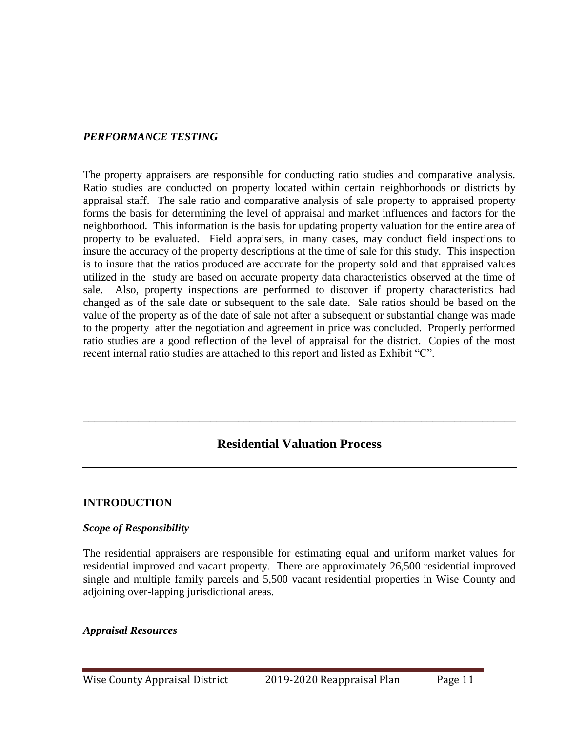#### *PERFORMANCE TESTING*

The property appraisers are responsible for conducting ratio studies and comparative analysis. Ratio studies are conducted on property located within certain neighborhoods or districts by appraisal staff. The sale ratio and comparative analysis of sale property to appraised property forms the basis for determining the level of appraisal and market influences and factors for the neighborhood. This information is the basis for updating property valuation for the entire area of property to be evaluated. Field appraisers, in many cases, may conduct field inspections to insure the accuracy of the property descriptions at the time of sale for this study. This inspection is to insure that the ratios produced are accurate for the property sold and that appraised values utilized in the study are based on accurate property data characteristics observed at the time of sale. Also, property inspections are performed to discover if property characteristics had changed as of the sale date or subsequent to the sale date. Sale ratios should be based on the value of the property as of the date of sale not after a subsequent or substantial change was made to the property after the negotiation and agreement in price was concluded. Properly performed ratio studies are a good reflection of the level of appraisal for the district. Copies of the most recent internal ratio studies are attached to this report and listed as Exhibit "C".

# **Residential Valuation Process**

\_\_\_\_\_\_\_\_\_\_\_\_\_\_\_\_\_\_\_\_\_\_\_\_\_\_\_\_\_\_\_\_\_\_\_\_\_\_\_\_\_\_\_\_\_\_\_\_\_\_\_\_\_\_\_\_\_\_\_\_\_\_\_\_\_\_\_\_\_\_\_\_\_\_\_\_\_\_

#### **INTRODUCTION**

#### *Scope of Responsibility*

The residential appraisers are responsible for estimating equal and uniform market values for residential improved and vacant property. There are approximately 26,500 residential improved single and multiple family parcels and 5,500 vacant residential properties in Wise County and adjoining over-lapping jurisdictional areas.

#### *Appraisal Resources*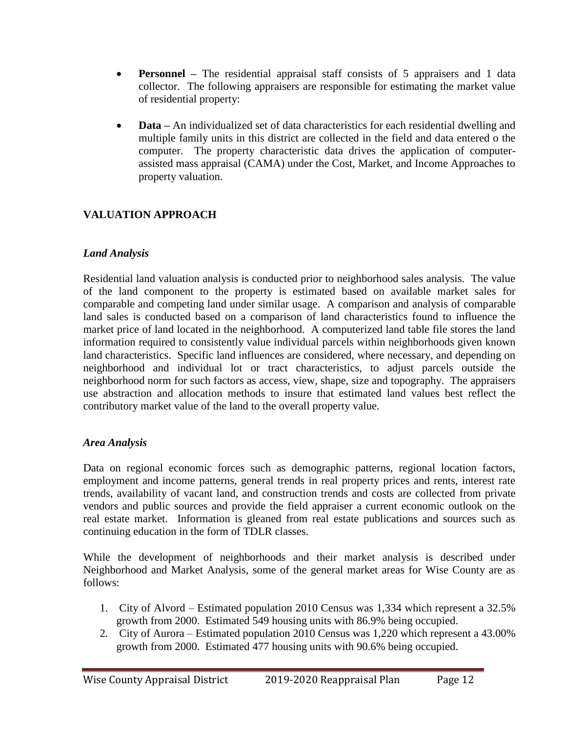- **Personnel –** The residential appraisal staff consists of 5 appraisers and 1 data collector. The following appraisers are responsible for estimating the market value of residential property:
- **Data** An individualized set of data characteristics for each residential dwelling and multiple family units in this district are collected in the field and data entered o the computer. The property characteristic data drives the application of computerassisted mass appraisal (CAMA) under the Cost, Market, and Income Approaches to property valuation.

# **VALUATION APPROACH**

### *Land Analysis*

Residential land valuation analysis is conducted prior to neighborhood sales analysis. The value of the land component to the property is estimated based on available market sales for comparable and competing land under similar usage. A comparison and analysis of comparable land sales is conducted based on a comparison of land characteristics found to influence the market price of land located in the neighborhood. A computerized land table file stores the land information required to consistently value individual parcels within neighborhoods given known land characteristics. Specific land influences are considered, where necessary, and depending on neighborhood and individual lot or tract characteristics, to adjust parcels outside the neighborhood norm for such factors as access, view, shape, size and topography. The appraisers use abstraction and allocation methods to insure that estimated land values best reflect the contributory market value of the land to the overall property value.

### *Area Analysis*

Data on regional economic forces such as demographic patterns, regional location factors, employment and income patterns, general trends in real property prices and rents, interest rate trends, availability of vacant land, and construction trends and costs are collected from private vendors and public sources and provide the field appraiser a current economic outlook on the real estate market. Information is gleaned from real estate publications and sources such as continuing education in the form of TDLR classes.

While the development of neighborhoods and their market analysis is described under Neighborhood and Market Analysis, some of the general market areas for Wise County are as follows:

- 1. City of Alvord Estimated population 2010 Census was 1,334 which represent a 32.5% growth from 2000. Estimated 549 housing units with 86.9% being occupied.
- 2. City of Aurora Estimated population 2010 Census was 1,220 which represent a 43.00% growth from 2000. Estimated 477 housing units with 90.6% being occupied.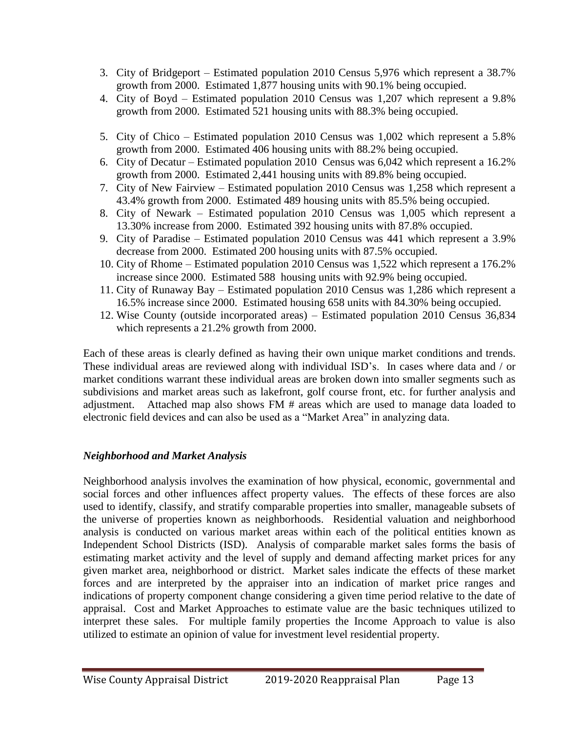- 3. City of Bridgeport Estimated population 2010 Census 5,976 which represent a 38.7% growth from 2000. Estimated 1,877 housing units with 90.1% being occupied.
- 4. City of Boyd Estimated population 2010 Census was 1,207 which represent a 9.8% growth from 2000. Estimated 521 housing units with 88.3% being occupied.
- 5. City of Chico Estimated population 2010 Census was 1,002 which represent a 5.8% growth from 2000. Estimated 406 housing units with 88.2% being occupied.
- 6. City of Decatur Estimated population 2010 Census was 6,042 which represent a 16.2% growth from 2000. Estimated 2,441 housing units with 89.8% being occupied.
- 7. City of New Fairview Estimated population 2010 Census was 1,258 which represent a 43.4% growth from 2000. Estimated 489 housing units with 85.5% being occupied.
- 8. City of Newark Estimated population 2010 Census was 1,005 which represent a 13.30% increase from 2000. Estimated 392 housing units with 87.8% occupied.
- 9. City of Paradise Estimated population 2010 Census was 441 which represent a 3.9% decrease from 2000. Estimated 200 housing units with 87.5% occupied.
- 10. City of Rhome Estimated population 2010 Census was 1,522 which represent a 176.2% increase since 2000. Estimated 588 housing units with 92.9% being occupied.
- 11. City of Runaway Bay Estimated population 2010 Census was 1,286 which represent a 16.5% increase since 2000. Estimated housing 658 units with 84.30% being occupied.
- 12. Wise County (outside incorporated areas) Estimated population 2010 Census 36,834 which represents a 21.2% growth from 2000.

Each of these areas is clearly defined as having their own unique market conditions and trends. These individual areas are reviewed along with individual ISD's. In cases where data and / or market conditions warrant these individual areas are broken down into smaller segments such as subdivisions and market areas such as lakefront, golf course front, etc. for further analysis and adjustment. Attached map also shows FM # areas which are used to manage data loaded to electronic field devices and can also be used as a "Market Area" in analyzing data.

## *Neighborhood and Market Analysis*

Neighborhood analysis involves the examination of how physical, economic, governmental and social forces and other influences affect property values. The effects of these forces are also used to identify, classify, and stratify comparable properties into smaller, manageable subsets of the universe of properties known as neighborhoods. Residential valuation and neighborhood analysis is conducted on various market areas within each of the political entities known as Independent School Districts (ISD). Analysis of comparable market sales forms the basis of estimating market activity and the level of supply and demand affecting market prices for any given market area, neighborhood or district. Market sales indicate the effects of these market forces and are interpreted by the appraiser into an indication of market price ranges and indications of property component change considering a given time period relative to the date of appraisal. Cost and Market Approaches to estimate value are the basic techniques utilized to interpret these sales. For multiple family properties the Income Approach to value is also utilized to estimate an opinion of value for investment level residential property.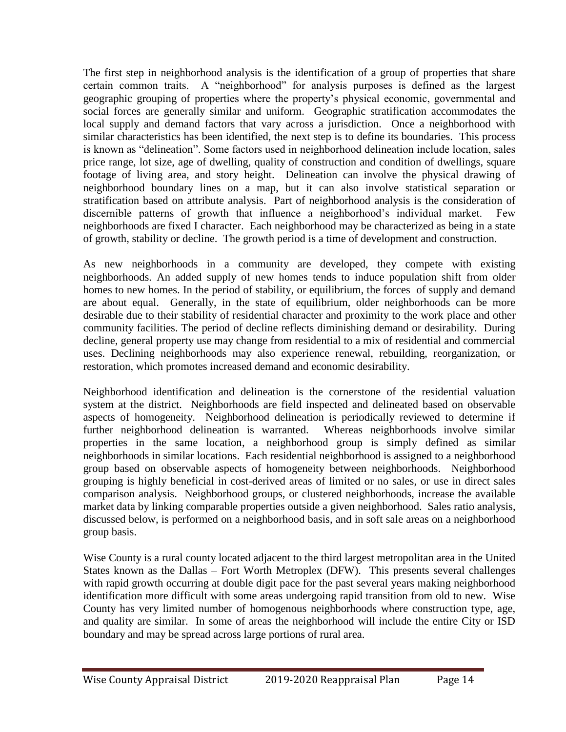The first step in neighborhood analysis is the identification of a group of properties that share certain common traits. A "neighborhood" for analysis purposes is defined as the largest geographic grouping of properties where the property's physical economic, governmental and social forces are generally similar and uniform. Geographic stratification accommodates the local supply and demand factors that vary across a jurisdiction. Once a neighborhood with similar characteristics has been identified, the next step is to define its boundaries. This process is known as "delineation". Some factors used in neighborhood delineation include location, sales price range, lot size, age of dwelling, quality of construction and condition of dwellings, square footage of living area, and story height. Delineation can involve the physical drawing of neighborhood boundary lines on a map, but it can also involve statistical separation or stratification based on attribute analysis. Part of neighborhood analysis is the consideration of discernible patterns of growth that influence a neighborhood's individual market. Few neighborhoods are fixed I character. Each neighborhood may be characterized as being in a state of growth, stability or decline. The growth period is a time of development and construction.

As new neighborhoods in a community are developed, they compete with existing neighborhoods. An added supply of new homes tends to induce population shift from older homes to new homes. In the period of stability, or equilibrium, the forces of supply and demand are about equal. Generally, in the state of equilibrium, older neighborhoods can be more desirable due to their stability of residential character and proximity to the work place and other community facilities. The period of decline reflects diminishing demand or desirability. During decline, general property use may change from residential to a mix of residential and commercial uses. Declining neighborhoods may also experience renewal, rebuilding, reorganization, or restoration, which promotes increased demand and economic desirability.

Neighborhood identification and delineation is the cornerstone of the residential valuation system at the district. Neighborhoods are field inspected and delineated based on observable aspects of homogeneity. Neighborhood delineation is periodically reviewed to determine if further neighborhood delineation is warranted. Whereas neighborhoods involve similar properties in the same location, a neighborhood group is simply defined as similar neighborhoods in similar locations. Each residential neighborhood is assigned to a neighborhood group based on observable aspects of homogeneity between neighborhoods. Neighborhood grouping is highly beneficial in cost-derived areas of limited or no sales, or use in direct sales comparison analysis. Neighborhood groups, or clustered neighborhoods, increase the available market data by linking comparable properties outside a given neighborhood. Sales ratio analysis, discussed below, is performed on a neighborhood basis, and in soft sale areas on a neighborhood group basis.

Wise County is a rural county located adjacent to the third largest metropolitan area in the United States known as the Dallas – Fort Worth Metroplex (DFW). This presents several challenges with rapid growth occurring at double digit pace for the past several years making neighborhood identification more difficult with some areas undergoing rapid transition from old to new. Wise County has very limited number of homogenous neighborhoods where construction type, age, and quality are similar. In some of areas the neighborhood will include the entire City or ISD boundary and may be spread across large portions of rural area.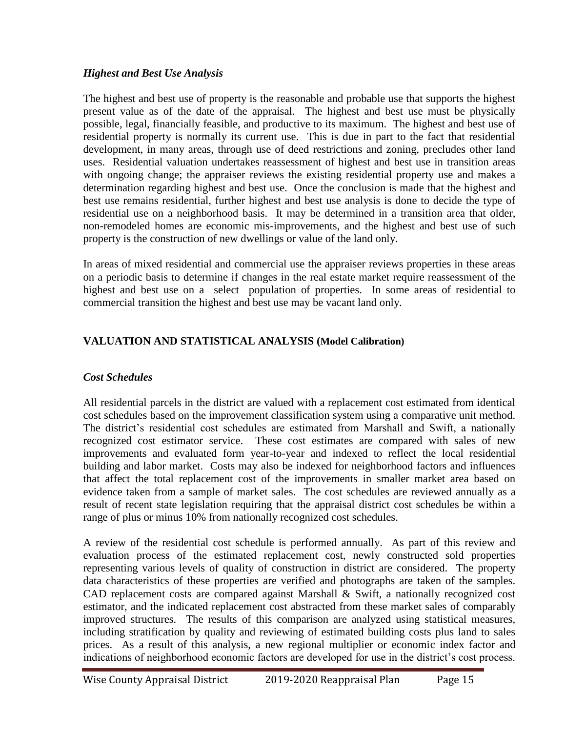### *Highest and Best Use Analysis*

The highest and best use of property is the reasonable and probable use that supports the highest present value as of the date of the appraisal. The highest and best use must be physically possible, legal, financially feasible, and productive to its maximum. The highest and best use of residential property is normally its current use. This is due in part to the fact that residential development, in many areas, through use of deed restrictions and zoning, precludes other land uses. Residential valuation undertakes reassessment of highest and best use in transition areas with ongoing change; the appraiser reviews the existing residential property use and makes a determination regarding highest and best use. Once the conclusion is made that the highest and best use remains residential, further highest and best use analysis is done to decide the type of residential use on a neighborhood basis. It may be determined in a transition area that older, non-remodeled homes are economic mis-improvements, and the highest and best use of such property is the construction of new dwellings or value of the land only.

In areas of mixed residential and commercial use the appraiser reviews properties in these areas on a periodic basis to determine if changes in the real estate market require reassessment of the highest and best use on a select population of properties. In some areas of residential to commercial transition the highest and best use may be vacant land only.

### **VALUATION AND STATISTICAL ANALYSIS (Model Calibration)**

### *Cost Schedules*

All residential parcels in the district are valued with a replacement cost estimated from identical cost schedules based on the improvement classification system using a comparative unit method. The district's residential cost schedules are estimated from Marshall and Swift, a nationally recognized cost estimator service. These cost estimates are compared with sales of new improvements and evaluated form year-to-year and indexed to reflect the local residential building and labor market. Costs may also be indexed for neighborhood factors and influences that affect the total replacement cost of the improvements in smaller market area based on evidence taken from a sample of market sales. The cost schedules are reviewed annually as a result of recent state legislation requiring that the appraisal district cost schedules be within a range of plus or minus 10% from nationally recognized cost schedules.

A review of the residential cost schedule is performed annually. As part of this review and evaluation process of the estimated replacement cost, newly constructed sold properties representing various levels of quality of construction in district are considered. The property data characteristics of these properties are verified and photographs are taken of the samples. CAD replacement costs are compared against Marshall & Swift, a nationally recognized cost estimator, and the indicated replacement cost abstracted from these market sales of comparably improved structures. The results of this comparison are analyzed using statistical measures, including stratification by quality and reviewing of estimated building costs plus land to sales prices. As a result of this analysis, a new regional multiplier or economic index factor and indications of neighborhood economic factors are developed for use in the district's cost process.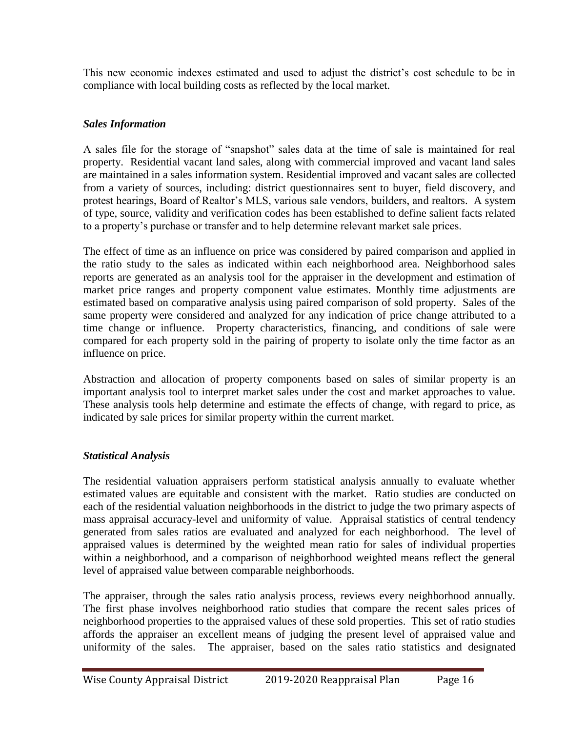This new economic indexes estimated and used to adjust the district's cost schedule to be in compliance with local building costs as reflected by the local market.

# *Sales Information*

A sales file for the storage of "snapshot" sales data at the time of sale is maintained for real property. Residential vacant land sales, along with commercial improved and vacant land sales are maintained in a sales information system. Residential improved and vacant sales are collected from a variety of sources, including: district questionnaires sent to buyer, field discovery, and protest hearings, Board of Realtor's MLS, various sale vendors, builders, and realtors. A system of type, source, validity and verification codes has been established to define salient facts related to a property's purchase or transfer and to help determine relevant market sale prices.

The effect of time as an influence on price was considered by paired comparison and applied in the ratio study to the sales as indicated within each neighborhood area. Neighborhood sales reports are generated as an analysis tool for the appraiser in the development and estimation of market price ranges and property component value estimates. Monthly time adjustments are estimated based on comparative analysis using paired comparison of sold property. Sales of the same property were considered and analyzed for any indication of price change attributed to a time change or influence. Property characteristics, financing, and conditions of sale were compared for each property sold in the pairing of property to isolate only the time factor as an influence on price.

Abstraction and allocation of property components based on sales of similar property is an important analysis tool to interpret market sales under the cost and market approaches to value. These analysis tools help determine and estimate the effects of change, with regard to price, as indicated by sale prices for similar property within the current market.

## *Statistical Analysis*

The residential valuation appraisers perform statistical analysis annually to evaluate whether estimated values are equitable and consistent with the market. Ratio studies are conducted on each of the residential valuation neighborhoods in the district to judge the two primary aspects of mass appraisal accuracy-level and uniformity of value. Appraisal statistics of central tendency generated from sales ratios are evaluated and analyzed for each neighborhood. The level of appraised values is determined by the weighted mean ratio for sales of individual properties within a neighborhood, and a comparison of neighborhood weighted means reflect the general level of appraised value between comparable neighborhoods.

The appraiser, through the sales ratio analysis process, reviews every neighborhood annually. The first phase involves neighborhood ratio studies that compare the recent sales prices of neighborhood properties to the appraised values of these sold properties. This set of ratio studies affords the appraiser an excellent means of judging the present level of appraised value and uniformity of the sales. The appraiser, based on the sales ratio statistics and designated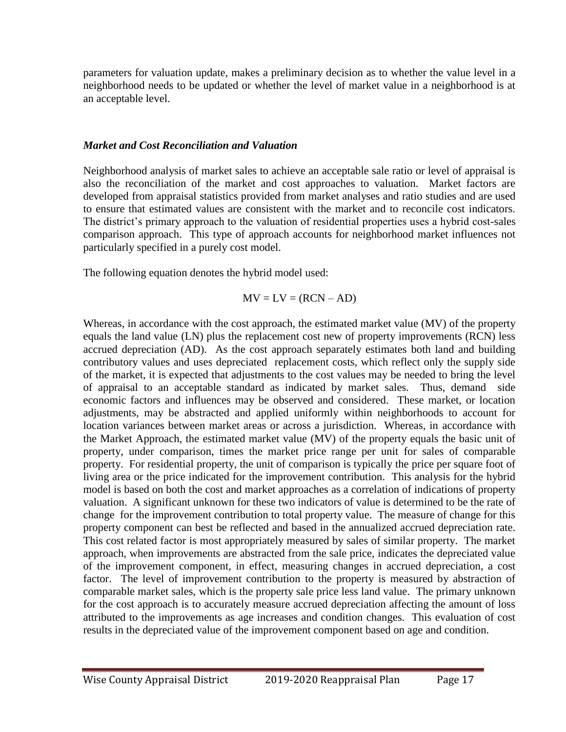parameters for valuation update, makes a preliminary decision as to whether the value level in a neighborhood needs to be updated or whether the level of market value in a neighborhood is at an acceptable level.

#### *Market and Cost Reconciliation and Valuation*

Neighborhood analysis of market sales to achieve an acceptable sale ratio or level of appraisal is also the reconciliation of the market and cost approaches to valuation. Market factors are developed from appraisal statistics provided from market analyses and ratio studies and are used to ensure that estimated values are consistent with the market and to reconcile cost indicators. The district's primary approach to the valuation of residential properties uses a hybrid cost-sales comparison approach. This type of approach accounts for neighborhood market influences not particularly specified in a purely cost model.

The following equation denotes the hybrid model used:

$$
MV = LV = (RCN - AD)
$$

Whereas, in accordance with the cost approach, the estimated market value (MV) of the property equals the land value (LN) plus the replacement cost new of property improvements (RCN) less accrued depreciation (AD). As the cost approach separately estimates both land and building contributory values and uses depreciated replacement costs, which reflect only the supply side of the market, it is expected that adjustments to the cost values may be needed to bring the level of appraisal to an acceptable standard as indicated by market sales. Thus, demand side economic factors and influences may be observed and considered. These market, or location adjustments, may be abstracted and applied uniformly within neighborhoods to account for location variances between market areas or across a jurisdiction. Whereas, in accordance with the Market Approach, the estimated market value (MV) of the property equals the basic unit of property, under comparison, times the market price range per unit for sales of comparable property. For residential property, the unit of comparison is typically the price per square foot of living area or the price indicated for the improvement contribution. This analysis for the hybrid model is based on both the cost and market approaches as a correlation of indications of property valuation. A significant unknown for these two indicators of value is determined to be the rate of change for the improvement contribution to total property value. The measure of change for this property component can best be reflected and based in the annualized accrued depreciation rate. This cost related factor is most appropriately measured by sales of similar property. The market approach, when improvements are abstracted from the sale price, indicates the depreciated value of the improvement component, in effect, measuring changes in accrued depreciation, a cost factor. The level of improvement contribution to the property is measured by abstraction of comparable market sales, which is the property sale price less land value. The primary unknown for the cost approach is to accurately measure accrued depreciation affecting the amount of loss attributed to the improvements as age increases and condition changes. This evaluation of cost results in the depreciated value of the improvement component based on age and condition.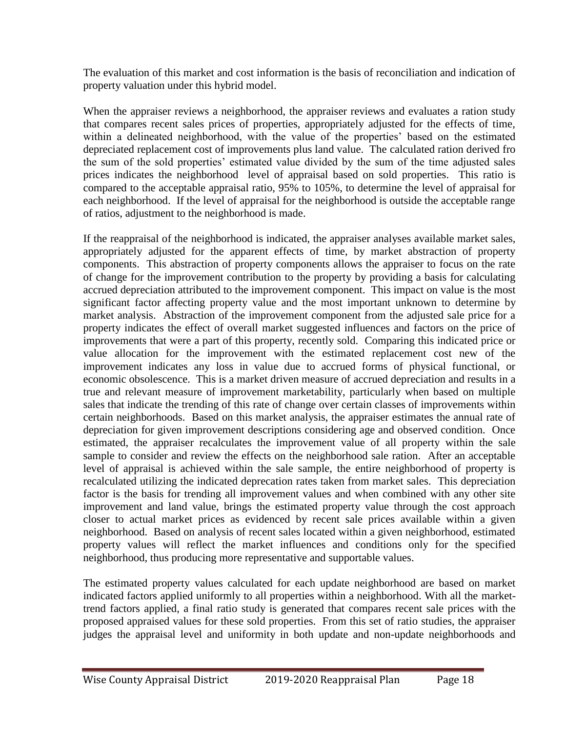The evaluation of this market and cost information is the basis of reconciliation and indication of property valuation under this hybrid model.

When the appraiser reviews a neighborhood, the appraiser reviews and evaluates a ration study that compares recent sales prices of properties, appropriately adjusted for the effects of time, within a delineated neighborhood, with the value of the properties' based on the estimated depreciated replacement cost of improvements plus land value. The calculated ration derived fro the sum of the sold properties' estimated value divided by the sum of the time adjusted sales prices indicates the neighborhood level of appraisal based on sold properties. This ratio is compared to the acceptable appraisal ratio, 95% to 105%, to determine the level of appraisal for each neighborhood. If the level of appraisal for the neighborhood is outside the acceptable range of ratios, adjustment to the neighborhood is made.

If the reappraisal of the neighborhood is indicated, the appraiser analyses available market sales, appropriately adjusted for the apparent effects of time, by market abstraction of property components. This abstraction of property components allows the appraiser to focus on the rate of change for the improvement contribution to the property by providing a basis for calculating accrued depreciation attributed to the improvement component. This impact on value is the most significant factor affecting property value and the most important unknown to determine by market analysis. Abstraction of the improvement component from the adjusted sale price for a property indicates the effect of overall market suggested influences and factors on the price of improvements that were a part of this property, recently sold. Comparing this indicated price or value allocation for the improvement with the estimated replacement cost new of the improvement indicates any loss in value due to accrued forms of physical functional, or economic obsolescence. This is a market driven measure of accrued depreciation and results in a true and relevant measure of improvement marketability, particularly when based on multiple sales that indicate the trending of this rate of change over certain classes of improvements within certain neighborhoods. Based on this market analysis, the appraiser estimates the annual rate of depreciation for given improvement descriptions considering age and observed condition. Once estimated, the appraiser recalculates the improvement value of all property within the sale sample to consider and review the effects on the neighborhood sale ration. After an acceptable level of appraisal is achieved within the sale sample, the entire neighborhood of property is recalculated utilizing the indicated deprecation rates taken from market sales. This depreciation factor is the basis for trending all improvement values and when combined with any other site improvement and land value, brings the estimated property value through the cost approach closer to actual market prices as evidenced by recent sale prices available within a given neighborhood. Based on analysis of recent sales located within a given neighborhood, estimated property values will reflect the market influences and conditions only for the specified neighborhood, thus producing more representative and supportable values.

The estimated property values calculated for each update neighborhood are based on market indicated factors applied uniformly to all properties within a neighborhood. With all the markettrend factors applied, a final ratio study is generated that compares recent sale prices with the proposed appraised values for these sold properties. From this set of ratio studies, the appraiser judges the appraisal level and uniformity in both update and non-update neighborhoods and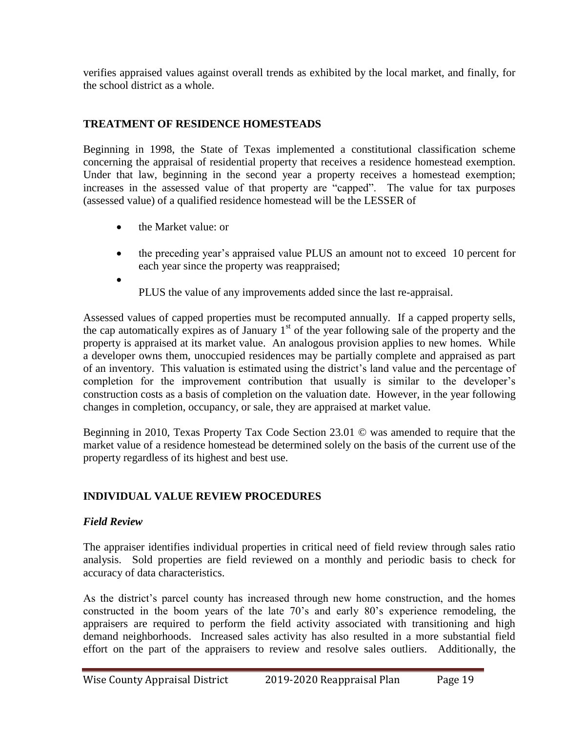verifies appraised values against overall trends as exhibited by the local market, and finally, for the school district as a whole.

# **TREATMENT OF RESIDENCE HOMESTEADS**

Beginning in 1998, the State of Texas implemented a constitutional classification scheme concerning the appraisal of residential property that receives a residence homestead exemption. Under that law, beginning in the second year a property receives a homestead exemption; increases in the assessed value of that property are "capped". The value for tax purposes (assessed value) of a qualified residence homestead will be the LESSER of

- the Market value: or
- the preceding year's appraised value PLUS an amount not to exceed 10 percent for each year since the property was reappraised;
	- PLUS the value of any improvements added since the last re-appraisal.

Assessed values of capped properties must be recomputed annually. If a capped property sells, the cap automatically expires as of January  $1<sup>st</sup>$  of the year following sale of the property and the property is appraised at its market value. An analogous provision applies to new homes. While a developer owns them, unoccupied residences may be partially complete and appraised as part of an inventory. This valuation is estimated using the district's land value and the percentage of completion for the improvement contribution that usually is similar to the developer's construction costs as a basis of completion on the valuation date. However, in the year following changes in completion, occupancy, or sale, they are appraised at market value.

Beginning in 2010, Texas Property Tax Code Section 23.01 © was amended to require that the market value of a residence homestead be determined solely on the basis of the current use of the property regardless of its highest and best use.

## **INDIVIDUAL VALUE REVIEW PROCEDURES**

### *Field Review*

 $\bullet$ 

The appraiser identifies individual properties in critical need of field review through sales ratio analysis. Sold properties are field reviewed on a monthly and periodic basis to check for accuracy of data characteristics.

As the district's parcel county has increased through new home construction, and the homes constructed in the boom years of the late 70's and early 80's experience remodeling, the appraisers are required to perform the field activity associated with transitioning and high demand neighborhoods. Increased sales activity has also resulted in a more substantial field effort on the part of the appraisers to review and resolve sales outliers. Additionally, the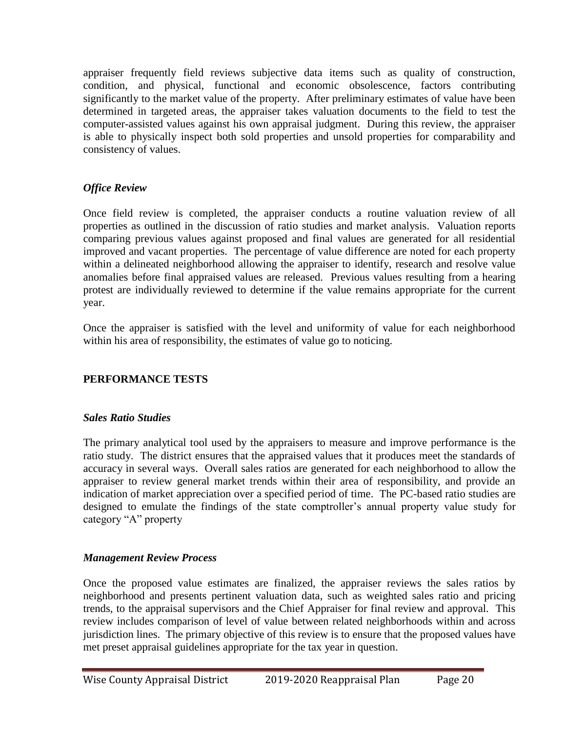appraiser frequently field reviews subjective data items such as quality of construction, condition, and physical, functional and economic obsolescence, factors contributing significantly to the market value of the property. After preliminary estimates of value have been determined in targeted areas, the appraiser takes valuation documents to the field to test the computer-assisted values against his own appraisal judgment. During this review, the appraiser is able to physically inspect both sold properties and unsold properties for comparability and consistency of values.

# *Office Review*

Once field review is completed, the appraiser conducts a routine valuation review of all properties as outlined in the discussion of ratio studies and market analysis. Valuation reports comparing previous values against proposed and final values are generated for all residential improved and vacant properties. The percentage of value difference are noted for each property within a delineated neighborhood allowing the appraiser to identify, research and resolve value anomalies before final appraised values are released. Previous values resulting from a hearing protest are individually reviewed to determine if the value remains appropriate for the current year.

Once the appraiser is satisfied with the level and uniformity of value for each neighborhood within his area of responsibility, the estimates of value go to noticing.

# **PERFORMANCE TESTS**

### *Sales Ratio Studies*

The primary analytical tool used by the appraisers to measure and improve performance is the ratio study. The district ensures that the appraised values that it produces meet the standards of accuracy in several ways. Overall sales ratios are generated for each neighborhood to allow the appraiser to review general market trends within their area of responsibility, and provide an indication of market appreciation over a specified period of time. The PC-based ratio studies are designed to emulate the findings of the state comptroller's annual property value study for category "A" property

## *Management Review Process*

Once the proposed value estimates are finalized, the appraiser reviews the sales ratios by neighborhood and presents pertinent valuation data, such as weighted sales ratio and pricing trends, to the appraisal supervisors and the Chief Appraiser for final review and approval. This review includes comparison of level of value between related neighborhoods within and across jurisdiction lines. The primary objective of this review is to ensure that the proposed values have met preset appraisal guidelines appropriate for the tax year in question.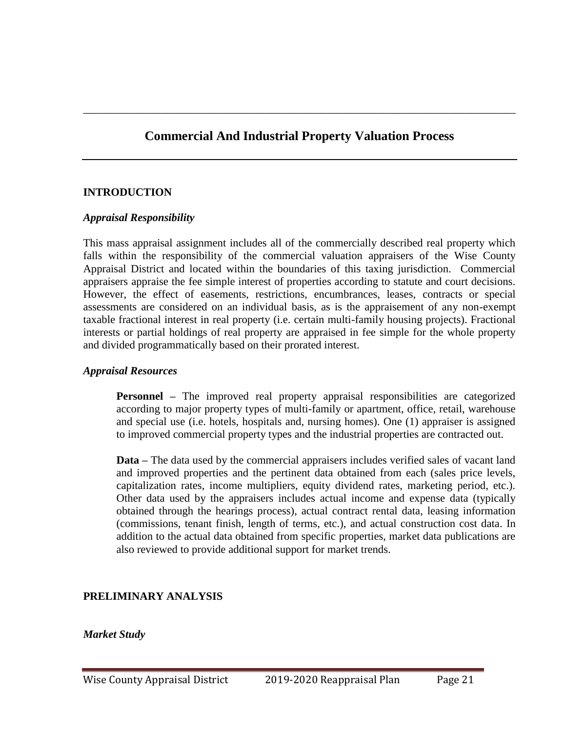\_\_\_\_\_\_\_\_\_\_\_\_\_\_\_\_\_\_\_\_\_\_\_\_\_\_\_\_\_\_\_\_\_\_\_\_\_\_\_\_\_\_\_\_\_\_\_\_\_\_\_\_\_\_\_\_\_\_\_\_\_\_\_\_\_\_\_\_\_\_\_\_\_\_\_\_\_\_

### **INTRODUCTION**

#### *Appraisal Responsibility*

This mass appraisal assignment includes all of the commercially described real property which falls within the responsibility of the commercial valuation appraisers of the Wise County Appraisal District and located within the boundaries of this taxing jurisdiction. Commercial appraisers appraise the fee simple interest of properties according to statute and court decisions. However, the effect of easements, restrictions, encumbrances, leases, contracts or special assessments are considered on an individual basis, as is the appraisement of any non-exempt taxable fractional interest in real property (i.e. certain multi-family housing projects). Fractional interests or partial holdings of real property are appraised in fee simple for the whole property and divided programmatically based on their prorated interest.

#### *Appraisal Resources*

**Personnel** – The improved real property appraisal responsibilities are categorized according to major property types of multi-family or apartment, office, retail, warehouse and special use (i.e. hotels, hospitals and, nursing homes). One (1) appraiser is assigned to improved commercial property types and the industrial properties are contracted out.

**Data –** The data used by the commercial appraisers includes verified sales of vacant land and improved properties and the pertinent data obtained from each (sales price levels, capitalization rates, income multipliers, equity dividend rates, marketing period, etc.). Other data used by the appraisers includes actual income and expense data (typically obtained through the hearings process), actual contract rental data, leasing information (commissions, tenant finish, length of terms, etc.), and actual construction cost data. In addition to the actual data obtained from specific properties, market data publications are also reviewed to provide additional support for market trends.

#### **PRELIMINARY ANALYSIS**

#### *Market Study*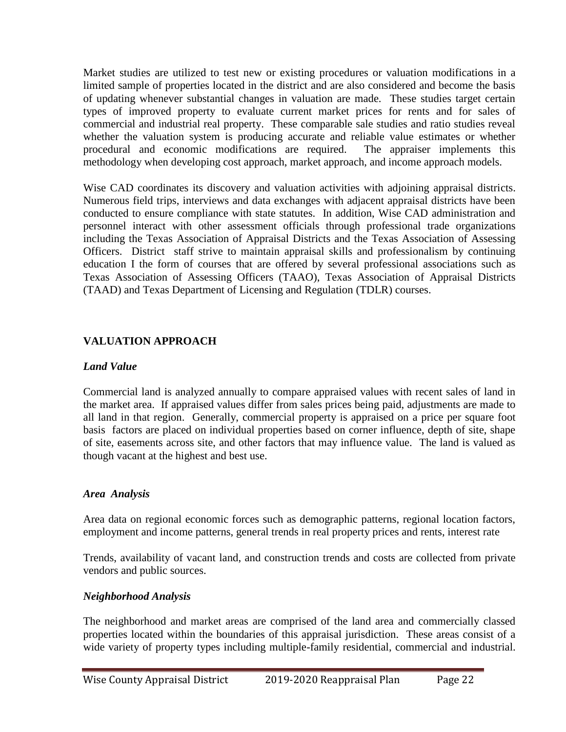Market studies are utilized to test new or existing procedures or valuation modifications in a limited sample of properties located in the district and are also considered and become the basis of updating whenever substantial changes in valuation are made. These studies target certain types of improved property to evaluate current market prices for rents and for sales of commercial and industrial real property. These comparable sale studies and ratio studies reveal whether the valuation system is producing accurate and reliable value estimates or whether procedural and economic modifications are required. The appraiser implements this methodology when developing cost approach, market approach, and income approach models.

Wise CAD coordinates its discovery and valuation activities with adjoining appraisal districts. Numerous field trips, interviews and data exchanges with adjacent appraisal districts have been conducted to ensure compliance with state statutes. In addition, Wise CAD administration and personnel interact with other assessment officials through professional trade organizations including the Texas Association of Appraisal Districts and the Texas Association of Assessing Officers. District staff strive to maintain appraisal skills and professionalism by continuing education I the form of courses that are offered by several professional associations such as Texas Association of Assessing Officers (TAAO), Texas Association of Appraisal Districts (TAAD) and Texas Department of Licensing and Regulation (TDLR) courses.

### **VALUATION APPROACH**

### *Land Value*

Commercial land is analyzed annually to compare appraised values with recent sales of land in the market area. If appraised values differ from sales prices being paid, adjustments are made to all land in that region. Generally, commercial property is appraised on a price per square foot basis factors are placed on individual properties based on corner influence, depth of site, shape of site, easements across site, and other factors that may influence value. The land is valued as though vacant at the highest and best use.

### *Area Analysis*

Area data on regional economic forces such as demographic patterns, regional location factors, employment and income patterns, general trends in real property prices and rents, interest rate

Trends, availability of vacant land, and construction trends and costs are collected from private vendors and public sources.

### *Neighborhood Analysis*

The neighborhood and market areas are comprised of the land area and commercially classed properties located within the boundaries of this appraisal jurisdiction. These areas consist of a wide variety of property types including multiple-family residential, commercial and industrial.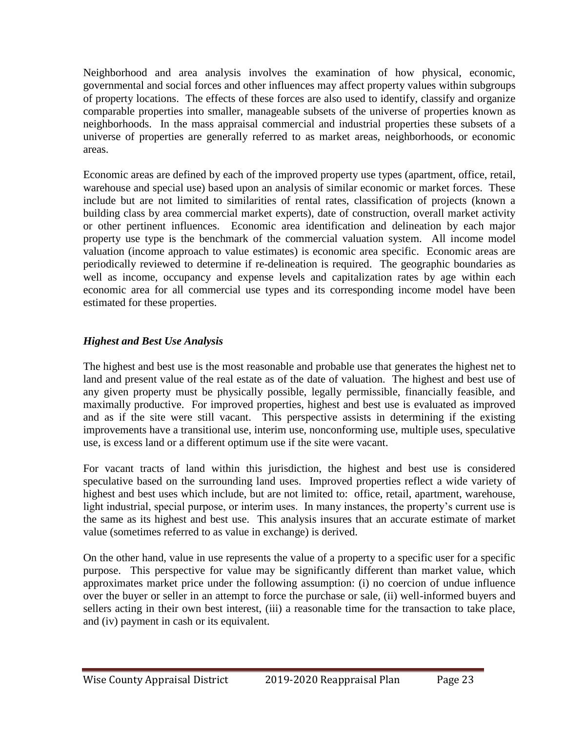Neighborhood and area analysis involves the examination of how physical, economic, governmental and social forces and other influences may affect property values within subgroups of property locations. The effects of these forces are also used to identify, classify and organize comparable properties into smaller, manageable subsets of the universe of properties known as neighborhoods. In the mass appraisal commercial and industrial properties these subsets of a universe of properties are generally referred to as market areas, neighborhoods, or economic areas.

Economic areas are defined by each of the improved property use types (apartment, office, retail, warehouse and special use) based upon an analysis of similar economic or market forces. These include but are not limited to similarities of rental rates, classification of projects (known a building class by area commercial market experts), date of construction, overall market activity or other pertinent influences. Economic area identification and delineation by each major property use type is the benchmark of the commercial valuation system. All income model valuation (income approach to value estimates) is economic area specific. Economic areas are periodically reviewed to determine if re-delineation is required. The geographic boundaries as well as income, occupancy and expense levels and capitalization rates by age within each economic area for all commercial use types and its corresponding income model have been estimated for these properties.

### *Highest and Best Use Analysis*

The highest and best use is the most reasonable and probable use that generates the highest net to land and present value of the real estate as of the date of valuation. The highest and best use of any given property must be physically possible, legally permissible, financially feasible, and maximally productive. For improved properties, highest and best use is evaluated as improved and as if the site were still vacant. This perspective assists in determining if the existing improvements have a transitional use, interim use, nonconforming use, multiple uses, speculative use, is excess land or a different optimum use if the site were vacant.

For vacant tracts of land within this jurisdiction, the highest and best use is considered speculative based on the surrounding land uses. Improved properties reflect a wide variety of highest and best uses which include, but are not limited to: office, retail, apartment, warehouse, light industrial, special purpose, or interim uses. In many instances, the property's current use is the same as its highest and best use. This analysis insures that an accurate estimate of market value (sometimes referred to as value in exchange) is derived.

On the other hand, value in use represents the value of a property to a specific user for a specific purpose. This perspective for value may be significantly different than market value, which approximates market price under the following assumption: (i) no coercion of undue influence over the buyer or seller in an attempt to force the purchase or sale, (ii) well-informed buyers and sellers acting in their own best interest, (iii) a reasonable time for the transaction to take place, and (iv) payment in cash or its equivalent.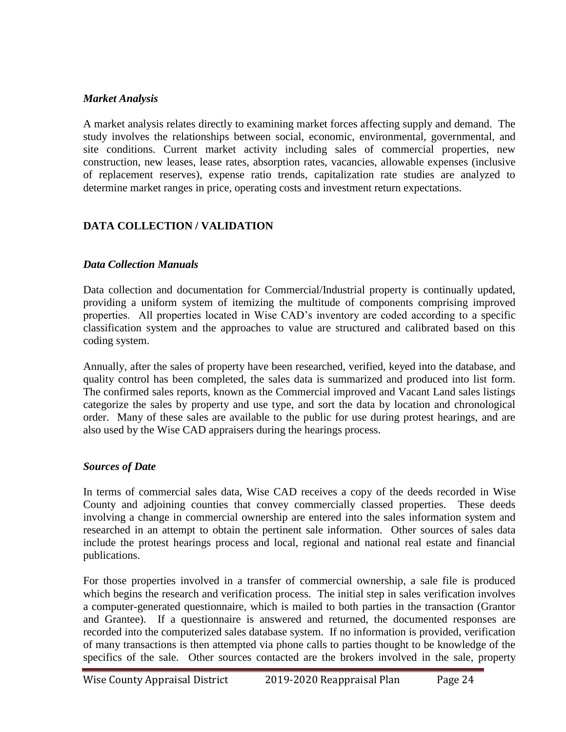#### *Market Analysis*

A market analysis relates directly to examining market forces affecting supply and demand. The study involves the relationships between social, economic, environmental, governmental, and site conditions. Current market activity including sales of commercial properties, new construction, new leases, lease rates, absorption rates, vacancies, allowable expenses (inclusive of replacement reserves), expense ratio trends, capitalization rate studies are analyzed to determine market ranges in price, operating costs and investment return expectations.

## **DATA COLLECTION / VALIDATION**

#### *Data Collection Manuals*

Data collection and documentation for Commercial/Industrial property is continually updated, providing a uniform system of itemizing the multitude of components comprising improved properties. All properties located in Wise CAD's inventory are coded according to a specific classification system and the approaches to value are structured and calibrated based on this coding system.

Annually, after the sales of property have been researched, verified, keyed into the database, and quality control has been completed, the sales data is summarized and produced into list form. The confirmed sales reports, known as the Commercial improved and Vacant Land sales listings categorize the sales by property and use type, and sort the data by location and chronological order. Many of these sales are available to the public for use during protest hearings, and are also used by the Wise CAD appraisers during the hearings process.

#### *Sources of Date*

In terms of commercial sales data, Wise CAD receives a copy of the deeds recorded in Wise County and adjoining counties that convey commercially classed properties. These deeds involving a change in commercial ownership are entered into the sales information system and researched in an attempt to obtain the pertinent sale information. Other sources of sales data include the protest hearings process and local, regional and national real estate and financial publications.

For those properties involved in a transfer of commercial ownership, a sale file is produced which begins the research and verification process. The initial step in sales verification involves a computer-generated questionnaire, which is mailed to both parties in the transaction (Grantor and Grantee). If a questionnaire is answered and returned, the documented responses are recorded into the computerized sales database system. If no information is provided, verification of many transactions is then attempted via phone calls to parties thought to be knowledge of the specifics of the sale. Other sources contacted are the brokers involved in the sale, property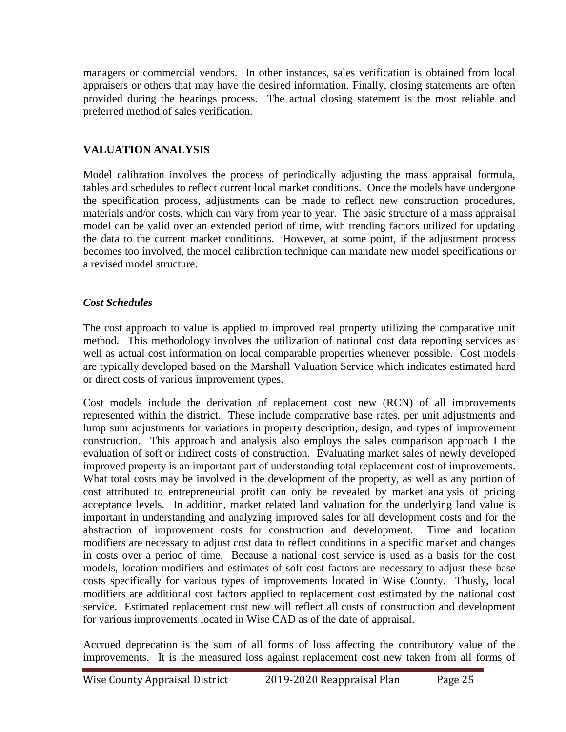managers or commercial vendors. In other instances, sales verification is obtained from local appraisers or others that may have the desired information. Finally, closing statements are often provided during the hearings process. The actual closing statement is the most reliable and preferred method of sales verification.

# **VALUATION ANALYSIS**

Model calibration involves the process of periodically adjusting the mass appraisal formula, tables and schedules to reflect current local market conditions. Once the models have undergone the specification process, adjustments can be made to reflect new construction procedures, materials and/or costs, which can vary from year to year. The basic structure of a mass appraisal model can be valid over an extended period of time, with trending factors utilized for updating the data to the current market conditions. However, at some point, if the adjustment process becomes too involved, the model calibration technique can mandate new model specifications or a revised model structure.

## *Cost Schedules*

The cost approach to value is applied to improved real property utilizing the comparative unit method. This methodology involves the utilization of national cost data reporting services as well as actual cost information on local comparable properties whenever possible. Cost models are typically developed based on the Marshall Valuation Service which indicates estimated hard or direct costs of various improvement types.

Cost models include the derivation of replacement cost new (RCN) of all improvements represented within the district. These include comparative base rates, per unit adjustments and lump sum adjustments for variations in property description, design, and types of improvement construction. This approach and analysis also employs the sales comparison approach I the evaluation of soft or indirect costs of construction. Evaluating market sales of newly developed improved property is an important part of understanding total replacement cost of improvements. What total costs may be involved in the development of the property, as well as any portion of cost attributed to entrepreneurial profit can only be revealed by market analysis of pricing acceptance levels. In addition, market related land valuation for the underlying land value is important in understanding and analyzing improved sales for all development costs and for the abstraction of improvement costs for construction and development. Time and location modifiers are necessary to adjust cost data to reflect conditions in a specific market and changes in costs over a period of time. Because a national cost service is used as a basis for the cost models, location modifiers and estimates of soft cost factors are necessary to adjust these base costs specifically for various types of improvements located in Wise County. Thusly, local modifiers are additional cost factors applied to replacement cost estimated by the national cost service. Estimated replacement cost new will reflect all costs of construction and development for various improvements located in Wise CAD as of the date of appraisal.

Accrued deprecation is the sum of all forms of loss affecting the contributory value of the improvements. It is the measured loss against replacement cost new taken from all forms of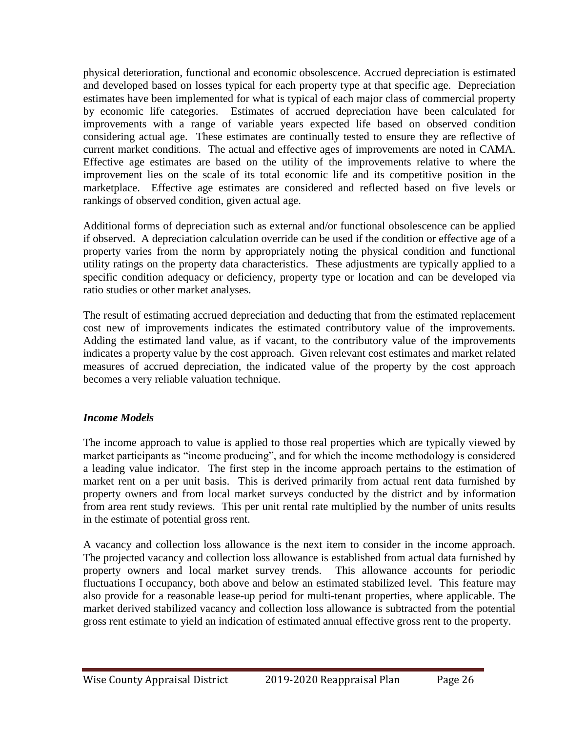physical deterioration, functional and economic obsolescence. Accrued depreciation is estimated and developed based on losses typical for each property type at that specific age. Depreciation estimates have been implemented for what is typical of each major class of commercial property by economic life categories. Estimates of accrued depreciation have been calculated for improvements with a range of variable years expected life based on observed condition considering actual age. These estimates are continually tested to ensure they are reflective of current market conditions. The actual and effective ages of improvements are noted in CAMA. Effective age estimates are based on the utility of the improvements relative to where the improvement lies on the scale of its total economic life and its competitive position in the marketplace. Effective age estimates are considered and reflected based on five levels or rankings of observed condition, given actual age.

Additional forms of depreciation such as external and/or functional obsolescence can be applied if observed. A depreciation calculation override can be used if the condition or effective age of a property varies from the norm by appropriately noting the physical condition and functional utility ratings on the property data characteristics. These adjustments are typically applied to a specific condition adequacy or deficiency, property type or location and can be developed via ratio studies or other market analyses.

The result of estimating accrued depreciation and deducting that from the estimated replacement cost new of improvements indicates the estimated contributory value of the improvements. Adding the estimated land value, as if vacant, to the contributory value of the improvements indicates a property value by the cost approach. Given relevant cost estimates and market related measures of accrued depreciation, the indicated value of the property by the cost approach becomes a very reliable valuation technique.

### *Income Models*

The income approach to value is applied to those real properties which are typically viewed by market participants as "income producing", and for which the income methodology is considered a leading value indicator. The first step in the income approach pertains to the estimation of market rent on a per unit basis. This is derived primarily from actual rent data furnished by property owners and from local market surveys conducted by the district and by information from area rent study reviews. This per unit rental rate multiplied by the number of units results in the estimate of potential gross rent.

A vacancy and collection loss allowance is the next item to consider in the income approach. The projected vacancy and collection loss allowance is established from actual data furnished by property owners and local market survey trends. This allowance accounts for periodic fluctuations I occupancy, both above and below an estimated stabilized level. This feature may also provide for a reasonable lease-up period for multi-tenant properties, where applicable. The market derived stabilized vacancy and collection loss allowance is subtracted from the potential gross rent estimate to yield an indication of estimated annual effective gross rent to the property.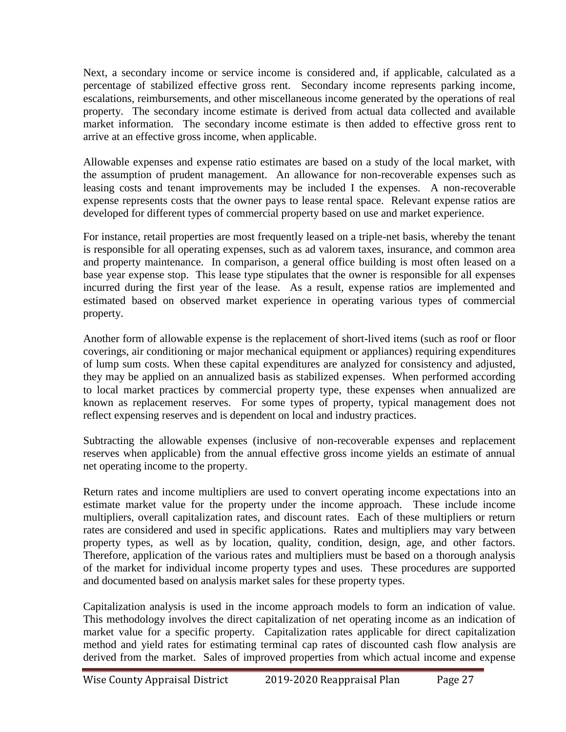Next, a secondary income or service income is considered and, if applicable, calculated as a percentage of stabilized effective gross rent. Secondary income represents parking income, escalations, reimbursements, and other miscellaneous income generated by the operations of real property. The secondary income estimate is derived from actual data collected and available market information. The secondary income estimate is then added to effective gross rent to arrive at an effective gross income, when applicable.

Allowable expenses and expense ratio estimates are based on a study of the local market, with the assumption of prudent management. An allowance for non-recoverable expenses such as leasing costs and tenant improvements may be included I the expenses. A non-recoverable expense represents costs that the owner pays to lease rental space. Relevant expense ratios are developed for different types of commercial property based on use and market experience.

For instance, retail properties are most frequently leased on a triple-net basis, whereby the tenant is responsible for all operating expenses, such as ad valorem taxes, insurance, and common area and property maintenance. In comparison, a general office building is most often leased on a base year expense stop. This lease type stipulates that the owner is responsible for all expenses incurred during the first year of the lease. As a result, expense ratios are implemented and estimated based on observed market experience in operating various types of commercial property.

Another form of allowable expense is the replacement of short-lived items (such as roof or floor coverings, air conditioning or major mechanical equipment or appliances) requiring expenditures of lump sum costs. When these capital expenditures are analyzed for consistency and adjusted, they may be applied on an annualized basis as stabilized expenses. When performed according to local market practices by commercial property type, these expenses when annualized are known as replacement reserves. For some types of property, typical management does not reflect expensing reserves and is dependent on local and industry practices.

Subtracting the allowable expenses (inclusive of non-recoverable expenses and replacement reserves when applicable) from the annual effective gross income yields an estimate of annual net operating income to the property.

Return rates and income multipliers are used to convert operating income expectations into an estimate market value for the property under the income approach. These include income multipliers, overall capitalization rates, and discount rates. Each of these multipliers or return rates are considered and used in specific applications. Rates and multipliers may vary between property types, as well as by location, quality, condition, design, age, and other factors. Therefore, application of the various rates and multipliers must be based on a thorough analysis of the market for individual income property types and uses. These procedures are supported and documented based on analysis market sales for these property types.

Capitalization analysis is used in the income approach models to form an indication of value. This methodology involves the direct capitalization of net operating income as an indication of market value for a specific property. Capitalization rates applicable for direct capitalization method and yield rates for estimating terminal cap rates of discounted cash flow analysis are derived from the market. Sales of improved properties from which actual income and expense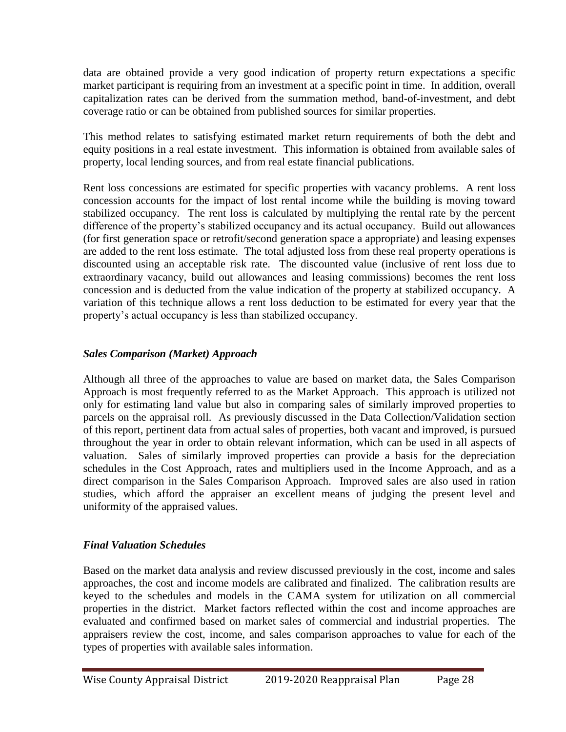data are obtained provide a very good indication of property return expectations a specific market participant is requiring from an investment at a specific point in time. In addition, overall capitalization rates can be derived from the summation method, band-of-investment, and debt coverage ratio or can be obtained from published sources for similar properties.

This method relates to satisfying estimated market return requirements of both the debt and equity positions in a real estate investment. This information is obtained from available sales of property, local lending sources, and from real estate financial publications.

Rent loss concessions are estimated for specific properties with vacancy problems. A rent loss concession accounts for the impact of lost rental income while the building is moving toward stabilized occupancy. The rent loss is calculated by multiplying the rental rate by the percent difference of the property's stabilized occupancy and its actual occupancy. Build out allowances (for first generation space or retrofit/second generation space a appropriate) and leasing expenses are added to the rent loss estimate. The total adjusted loss from these real property operations is discounted using an acceptable risk rate. The discounted value (inclusive of rent loss due to extraordinary vacancy, build out allowances and leasing commissions) becomes the rent loss concession and is deducted from the value indication of the property at stabilized occupancy. A variation of this technique allows a rent loss deduction to be estimated for every year that the property's actual occupancy is less than stabilized occupancy.

## *Sales Comparison (Market) Approach*

Although all three of the approaches to value are based on market data, the Sales Comparison Approach is most frequently referred to as the Market Approach. This approach is utilized not only for estimating land value but also in comparing sales of similarly improved properties to parcels on the appraisal roll. As previously discussed in the Data Collection/Validation section of this report, pertinent data from actual sales of properties, both vacant and improved, is pursued throughout the year in order to obtain relevant information, which can be used in all aspects of valuation. Sales of similarly improved properties can provide a basis for the depreciation schedules in the Cost Approach, rates and multipliers used in the Income Approach, and as a direct comparison in the Sales Comparison Approach. Improved sales are also used in ration studies, which afford the appraiser an excellent means of judging the present level and uniformity of the appraised values.

## *Final Valuation Schedules*

Based on the market data analysis and review discussed previously in the cost, income and sales approaches, the cost and income models are calibrated and finalized. The calibration results are keyed to the schedules and models in the CAMA system for utilization on all commercial properties in the district. Market factors reflected within the cost and income approaches are evaluated and confirmed based on market sales of commercial and industrial properties. The appraisers review the cost, income, and sales comparison approaches to value for each of the types of properties with available sales information.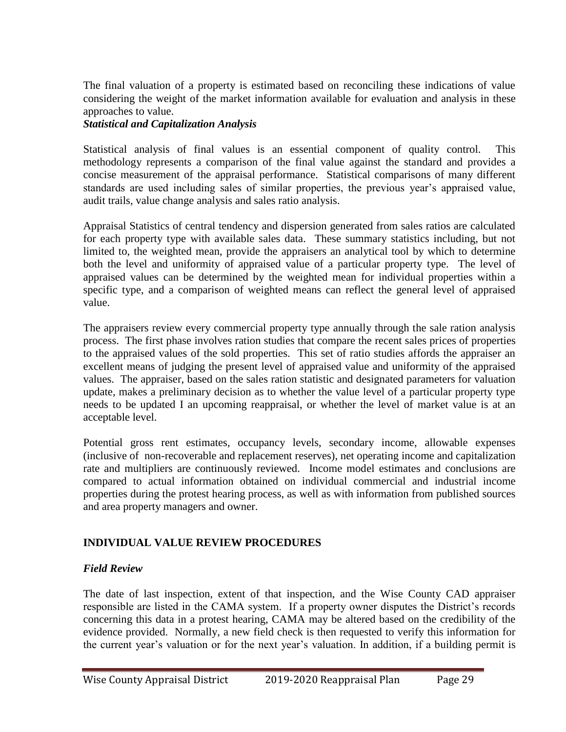The final valuation of a property is estimated based on reconciling these indications of value considering the weight of the market information available for evaluation and analysis in these approaches to value.

#### *Statistical and Capitalization Analysis*

Statistical analysis of final values is an essential component of quality control. This methodology represents a comparison of the final value against the standard and provides a concise measurement of the appraisal performance. Statistical comparisons of many different standards are used including sales of similar properties, the previous year's appraised value, audit trails, value change analysis and sales ratio analysis.

Appraisal Statistics of central tendency and dispersion generated from sales ratios are calculated for each property type with available sales data. These summary statistics including, but not limited to, the weighted mean, provide the appraisers an analytical tool by which to determine both the level and uniformity of appraised value of a particular property type. The level of appraised values can be determined by the weighted mean for individual properties within a specific type, and a comparison of weighted means can reflect the general level of appraised value.

The appraisers review every commercial property type annually through the sale ration analysis process. The first phase involves ration studies that compare the recent sales prices of properties to the appraised values of the sold properties. This set of ratio studies affords the appraiser an excellent means of judging the present level of appraised value and uniformity of the appraised values. The appraiser, based on the sales ration statistic and designated parameters for valuation update, makes a preliminary decision as to whether the value level of a particular property type needs to be updated I an upcoming reappraisal, or whether the level of market value is at an acceptable level.

Potential gross rent estimates, occupancy levels, secondary income, allowable expenses (inclusive of non-recoverable and replacement reserves), net operating income and capitalization rate and multipliers are continuously reviewed. Income model estimates and conclusions are compared to actual information obtained on individual commercial and industrial income properties during the protest hearing process, as well as with information from published sources and area property managers and owner.

### **INDIVIDUAL VALUE REVIEW PROCEDURES**

### *Field Review*

The date of last inspection, extent of that inspection, and the Wise County CAD appraiser responsible are listed in the CAMA system. If a property owner disputes the District's records concerning this data in a protest hearing, CAMA may be altered based on the credibility of the evidence provided. Normally, a new field check is then requested to verify this information for the current year's valuation or for the next year's valuation. In addition, if a building permit is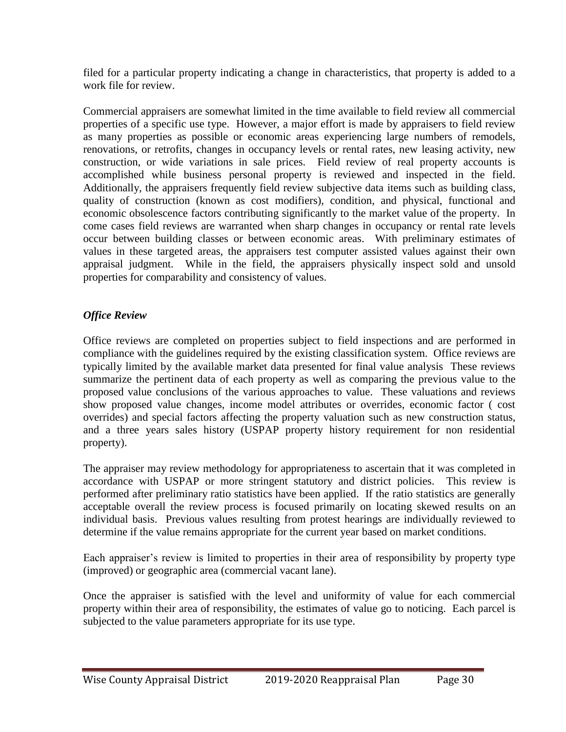filed for a particular property indicating a change in characteristics, that property is added to a work file for review.

Commercial appraisers are somewhat limited in the time available to field review all commercial properties of a specific use type. However, a major effort is made by appraisers to field review as many properties as possible or economic areas experiencing large numbers of remodels, renovations, or retrofits, changes in occupancy levels or rental rates, new leasing activity, new construction, or wide variations in sale prices. Field review of real property accounts is accomplished while business personal property is reviewed and inspected in the field. Additionally, the appraisers frequently field review subjective data items such as building class, quality of construction (known as cost modifiers), condition, and physical, functional and economic obsolescence factors contributing significantly to the market value of the property. In come cases field reviews are warranted when sharp changes in occupancy or rental rate levels occur between building classes or between economic areas. With preliminary estimates of values in these targeted areas, the appraisers test computer assisted values against their own appraisal judgment. While in the field, the appraisers physically inspect sold and unsold properties for comparability and consistency of values.

## *Office Review*

Office reviews are completed on properties subject to field inspections and are performed in compliance with the guidelines required by the existing classification system. Office reviews are typically limited by the available market data presented for final value analysis These reviews summarize the pertinent data of each property as well as comparing the previous value to the proposed value conclusions of the various approaches to value. These valuations and reviews show proposed value changes, income model attributes or overrides, economic factor ( cost overrides) and special factors affecting the property valuation such as new construction status, and a three years sales history (USPAP property history requirement for non residential property).

The appraiser may review methodology for appropriateness to ascertain that it was completed in accordance with USPAP or more stringent statutory and district policies. This review is performed after preliminary ratio statistics have been applied. If the ratio statistics are generally acceptable overall the review process is focused primarily on locating skewed results on an individual basis. Previous values resulting from protest hearings are individually reviewed to determine if the value remains appropriate for the current year based on market conditions.

Each appraiser's review is limited to properties in their area of responsibility by property type (improved) or geographic area (commercial vacant lane).

Once the appraiser is satisfied with the level and uniformity of value for each commercial property within their area of responsibility, the estimates of value go to noticing. Each parcel is subjected to the value parameters appropriate for its use type.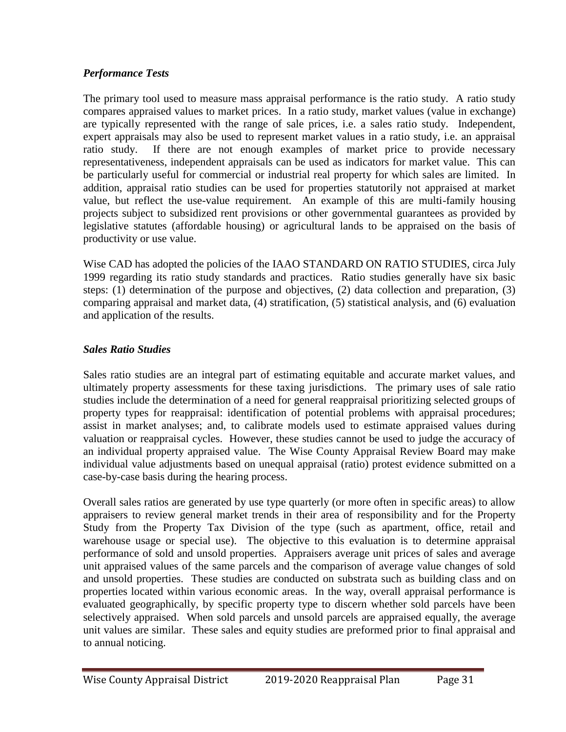### *Performance Tests*

The primary tool used to measure mass appraisal performance is the ratio study. A ratio study compares appraised values to market prices. In a ratio study, market values (value in exchange) are typically represented with the range of sale prices, i.e. a sales ratio study. Independent, expert appraisals may also be used to represent market values in a ratio study, i.e. an appraisal ratio study. If there are not enough examples of market price to provide necessary representativeness, independent appraisals can be used as indicators for market value. This can be particularly useful for commercial or industrial real property for which sales are limited. In addition, appraisal ratio studies can be used for properties statutorily not appraised at market value, but reflect the use-value requirement. An example of this are multi-family housing projects subject to subsidized rent provisions or other governmental guarantees as provided by legislative statutes (affordable housing) or agricultural lands to be appraised on the basis of productivity or use value.

Wise CAD has adopted the policies of the IAAO STANDARD ON RATIO STUDIES, circa July 1999 regarding its ratio study standards and practices. Ratio studies generally have six basic steps: (1) determination of the purpose and objectives, (2) data collection and preparation, (3) comparing appraisal and market data, (4) stratification, (5) statistical analysis, and (6) evaluation and application of the results.

## *Sales Ratio Studies*

Sales ratio studies are an integral part of estimating equitable and accurate market values, and ultimately property assessments for these taxing jurisdictions. The primary uses of sale ratio studies include the determination of a need for general reappraisal prioritizing selected groups of property types for reappraisal: identification of potential problems with appraisal procedures; assist in market analyses; and, to calibrate models used to estimate appraised values during valuation or reappraisal cycles. However, these studies cannot be used to judge the accuracy of an individual property appraised value. The Wise County Appraisal Review Board may make individual value adjustments based on unequal appraisal (ratio) protest evidence submitted on a case-by-case basis during the hearing process.

Overall sales ratios are generated by use type quarterly (or more often in specific areas) to allow appraisers to review general market trends in their area of responsibility and for the Property Study from the Property Tax Division of the type (such as apartment, office, retail and warehouse usage or special use). The objective to this evaluation is to determine appraisal performance of sold and unsold properties. Appraisers average unit prices of sales and average unit appraised values of the same parcels and the comparison of average value changes of sold and unsold properties. These studies are conducted on substrata such as building class and on properties located within various economic areas. In the way, overall appraisal performance is evaluated geographically, by specific property type to discern whether sold parcels have been selectively appraised. When sold parcels and unsold parcels are appraised equally, the average unit values are similar. These sales and equity studies are preformed prior to final appraisal and to annual noticing.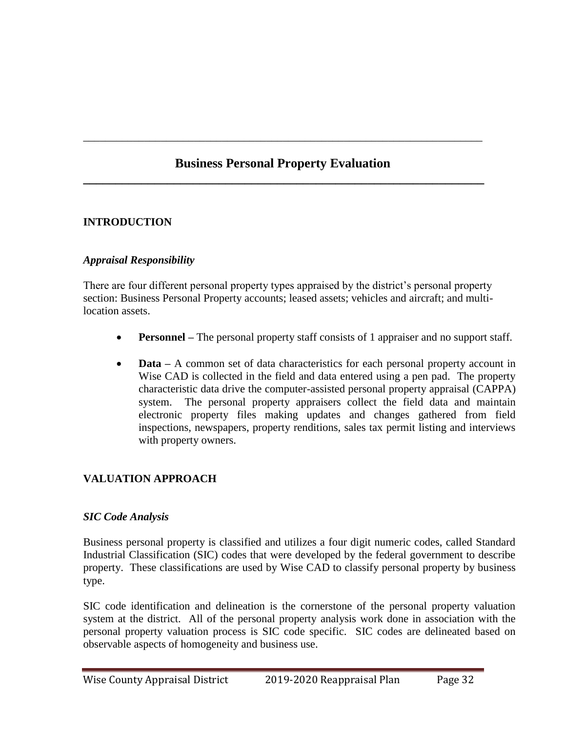# **Business Personal Property Evaluation \_\_\_\_\_\_\_\_\_\_\_\_\_\_\_\_\_\_\_\_\_\_\_\_\_\_\_\_\_\_\_\_\_\_\_\_\_\_\_\_\_\_\_\_\_\_\_\_\_\_\_\_\_\_\_\_\_\_\_\_\_\_**

\_\_\_\_\_\_\_\_\_\_\_\_\_\_\_\_\_\_\_\_\_\_\_\_\_\_\_\_\_\_\_\_\_\_\_\_\_\_\_\_\_\_\_\_\_\_\_\_\_\_\_\_\_\_\_\_\_\_\_\_\_\_\_\_\_\_\_\_\_\_\_\_

# **INTRODUCTION**

### *Appraisal Responsibility*

There are four different personal property types appraised by the district's personal property section: Business Personal Property accounts; leased assets; vehicles and aircraft; and multilocation assets.

- **Personnel** The personal property staff consists of 1 appraiser and no support staff.
- **Data** A common set of data characteristics for each personal property account in Wise CAD is collected in the field and data entered using a pen pad. The property characteristic data drive the computer-assisted personal property appraisal (CAPPA) system. The personal property appraisers collect the field data and maintain electronic property files making updates and changes gathered from field inspections, newspapers, property renditions, sales tax permit listing and interviews with property owners.

## **VALUATION APPROACH**

#### *SIC Code Analysis*

Business personal property is classified and utilizes a four digit numeric codes, called Standard Industrial Classification (SIC) codes that were developed by the federal government to describe property. These classifications are used by Wise CAD to classify personal property by business type.

SIC code identification and delineation is the cornerstone of the personal property valuation system at the district. All of the personal property analysis work done in association with the personal property valuation process is SIC code specific. SIC codes are delineated based on observable aspects of homogeneity and business use.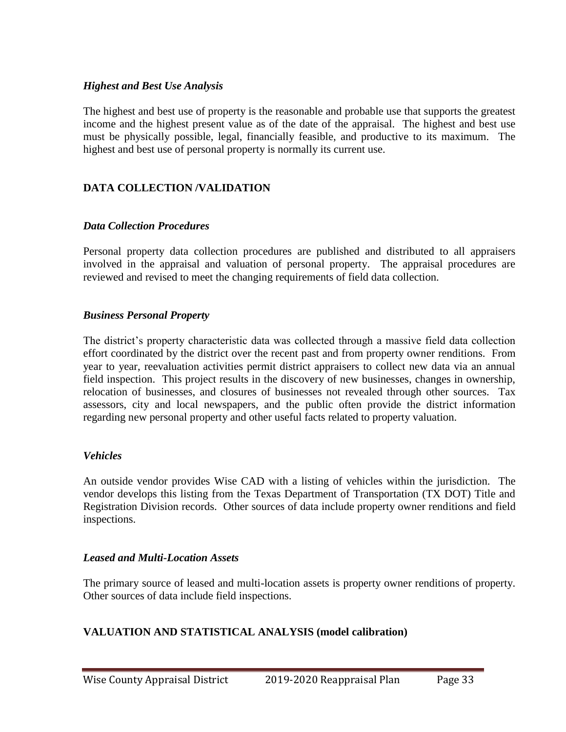#### *Highest and Best Use Analysis*

The highest and best use of property is the reasonable and probable use that supports the greatest income and the highest present value as of the date of the appraisal. The highest and best use must be physically possible, legal, financially feasible, and productive to its maximum. The highest and best use of personal property is normally its current use.

### **DATA COLLECTION /VALIDATION**

#### *Data Collection Procedures*

Personal property data collection procedures are published and distributed to all appraisers involved in the appraisal and valuation of personal property. The appraisal procedures are reviewed and revised to meet the changing requirements of field data collection.

#### *Business Personal Property*

The district's property characteristic data was collected through a massive field data collection effort coordinated by the district over the recent past and from property owner renditions. From year to year, reevaluation activities permit district appraisers to collect new data via an annual field inspection. This project results in the discovery of new businesses, changes in ownership, relocation of businesses, and closures of businesses not revealed through other sources. Tax assessors, city and local newspapers, and the public often provide the district information regarding new personal property and other useful facts related to property valuation.

#### *Vehicles*

An outside vendor provides Wise CAD with a listing of vehicles within the jurisdiction. The vendor develops this listing from the Texas Department of Transportation (TX DOT) Title and Registration Division records. Other sources of data include property owner renditions and field inspections.

#### *Leased and Multi-Location Assets*

The primary source of leased and multi-location assets is property owner renditions of property. Other sources of data include field inspections.

### **VALUATION AND STATISTICAL ANALYSIS (model calibration)**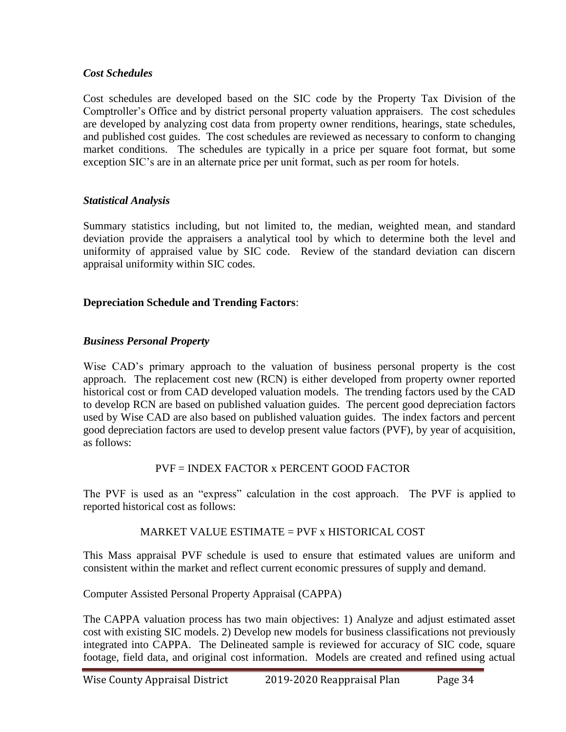#### *Cost Schedules*

Cost schedules are developed based on the SIC code by the Property Tax Division of the Comptroller's Office and by district personal property valuation appraisers. The cost schedules are developed by analyzing cost data from property owner renditions, hearings, state schedules, and published cost guides. The cost schedules are reviewed as necessary to conform to changing market conditions. The schedules are typically in a price per square foot format, but some exception SIC's are in an alternate price per unit format, such as per room for hotels.

#### *Statistical Analysis*

Summary statistics including, but not limited to, the median, weighted mean, and standard deviation provide the appraisers a analytical tool by which to determine both the level and uniformity of appraised value by SIC code. Review of the standard deviation can discern appraisal uniformity within SIC codes.

#### **Depreciation Schedule and Trending Factors**:

#### *Business Personal Property*

Wise CAD's primary approach to the valuation of business personal property is the cost approach. The replacement cost new (RCN) is either developed from property owner reported historical cost or from CAD developed valuation models. The trending factors used by the CAD to develop RCN are based on published valuation guides. The percent good depreciation factors used by Wise CAD are also based on published valuation guides. The index factors and percent good depreciation factors are used to develop present value factors (PVF), by year of acquisition, as follows:

### PVF = INDEX FACTOR x PERCENT GOOD FACTOR

The PVF is used as an "express" calculation in the cost approach. The PVF is applied to reported historical cost as follows:

#### MARKET VALUE ESTIMATE = PVF x HISTORICAL COST

This Mass appraisal PVF schedule is used to ensure that estimated values are uniform and consistent within the market and reflect current economic pressures of supply and demand.

### Computer Assisted Personal Property Appraisal (CAPPA)

The CAPPA valuation process has two main objectives: 1) Analyze and adjust estimated asset cost with existing SIC models. 2) Develop new models for business classifications not previously integrated into CAPPA. The Delineated sample is reviewed for accuracy of SIC code, square footage, field data, and original cost information. Models are created and refined using actual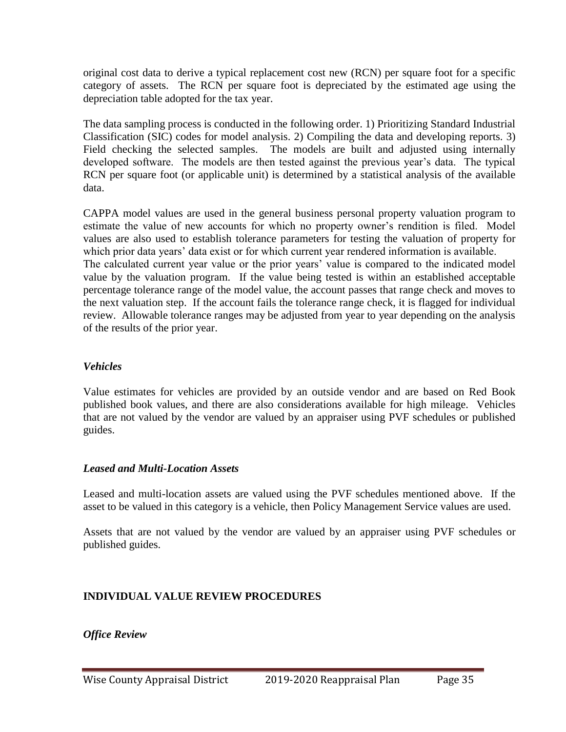original cost data to derive a typical replacement cost new (RCN) per square foot for a specific category of assets. The RCN per square foot is depreciated by the estimated age using the depreciation table adopted for the tax year.

The data sampling process is conducted in the following order. 1) Prioritizing Standard Industrial Classification (SIC) codes for model analysis. 2) Compiling the data and developing reports. 3) Field checking the selected samples. The models are built and adjusted using internally developed software. The models are then tested against the previous year's data. The typical RCN per square foot (or applicable unit) is determined by a statistical analysis of the available data.

CAPPA model values are used in the general business personal property valuation program to estimate the value of new accounts for which no property owner's rendition is filed. Model values are also used to establish tolerance parameters for testing the valuation of property for which prior data years' data exist or for which current year rendered information is available. The calculated current year value or the prior years' value is compared to the indicated model value by the valuation program. If the value being tested is within an established acceptable percentage tolerance range of the model value, the account passes that range check and moves to the next valuation step. If the account fails the tolerance range check, it is flagged for individual review. Allowable tolerance ranges may be adjusted from year to year depending on the analysis of the results of the prior year.

### *Vehicles*

Value estimates for vehicles are provided by an outside vendor and are based on Red Book published book values, and there are also considerations available for high mileage. Vehicles that are not valued by the vendor are valued by an appraiser using PVF schedules or published guides.

### *Leased and Multi-Location Assets*

Leased and multi-location assets are valued using the PVF schedules mentioned above. If the asset to be valued in this category is a vehicle, then Policy Management Service values are used.

Assets that are not valued by the vendor are valued by an appraiser using PVF schedules or published guides.

### **INDIVIDUAL VALUE REVIEW PROCEDURES**

*Office Review*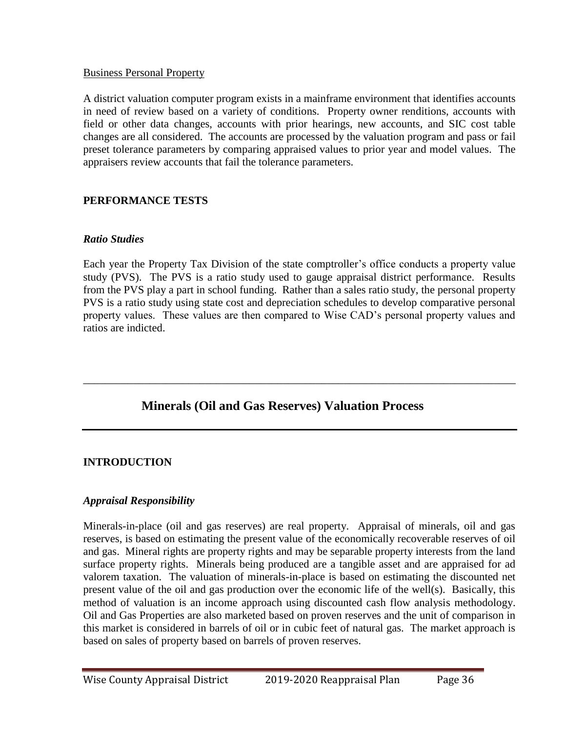#### Business Personal Property

A district valuation computer program exists in a mainframe environment that identifies accounts in need of review based on a variety of conditions. Property owner renditions, accounts with field or other data changes, accounts with prior hearings, new accounts, and SIC cost table changes are all considered. The accounts are processed by the valuation program and pass or fail preset tolerance parameters by comparing appraised values to prior year and model values. The appraisers review accounts that fail the tolerance parameters.

### **PERFORMANCE TESTS**

#### *Ratio Studies*

Each year the Property Tax Division of the state comptroller's office conducts a property value study (PVS). The PVS is a ratio study used to gauge appraisal district performance. Results from the PVS play a part in school funding. Rather than a sales ratio study, the personal property PVS is a ratio study using state cost and depreciation schedules to develop comparative personal property values. These values are then compared to Wise CAD's personal property values and ratios are indicted.

\_\_\_\_\_\_\_\_\_\_\_\_\_\_\_\_\_\_\_\_\_\_\_\_\_\_\_\_\_\_\_\_\_\_\_\_\_\_\_\_\_\_\_\_\_\_\_\_\_\_\_\_\_\_\_\_\_\_\_\_\_\_\_\_\_\_\_\_\_\_\_\_\_\_\_\_\_\_

# **Minerals (Oil and Gas Reserves) Valuation Process**

### **INTRODUCTION**

### *Appraisal Responsibility*

Minerals-in-place (oil and gas reserves) are real property. Appraisal of minerals, oil and gas reserves, is based on estimating the present value of the economically recoverable reserves of oil and gas. Mineral rights are property rights and may be separable property interests from the land surface property rights. Minerals being produced are a tangible asset and are appraised for ad valorem taxation. The valuation of minerals-in-place is based on estimating the discounted net present value of the oil and gas production over the economic life of the well(s). Basically, this method of valuation is an income approach using discounted cash flow analysis methodology. Oil and Gas Properties are also marketed based on proven reserves and the unit of comparison in this market is considered in barrels of oil or in cubic feet of natural gas. The market approach is based on sales of property based on barrels of proven reserves.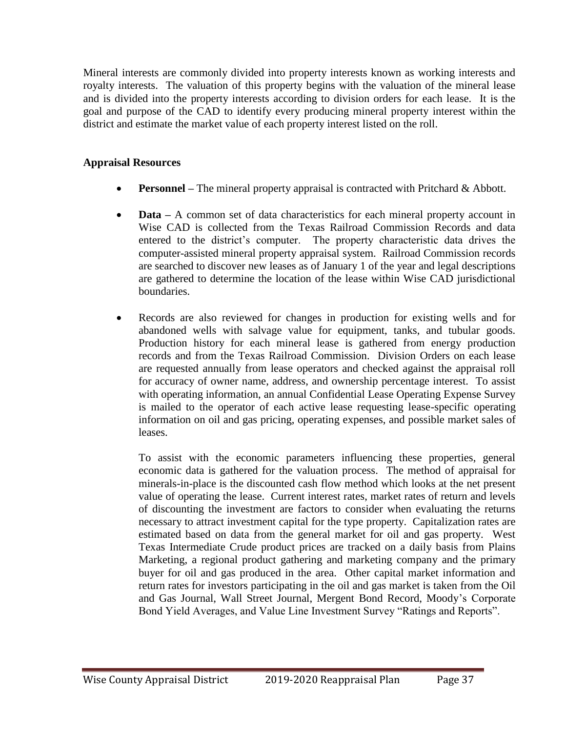Mineral interests are commonly divided into property interests known as working interests and royalty interests. The valuation of this property begins with the valuation of the mineral lease and is divided into the property interests according to division orders for each lease. It is the goal and purpose of the CAD to identify every producing mineral property interest within the district and estimate the market value of each property interest listed on the roll.

### **Appraisal Resources**

- **Personnel** The mineral property appraisal is contracted with Pritchard & Abbott.
- **Data** A common set of data characteristics for each mineral property account in Wise CAD is collected from the Texas Railroad Commission Records and data entered to the district's computer. The property characteristic data drives the computer-assisted mineral property appraisal system. Railroad Commission records are searched to discover new leases as of January 1 of the year and legal descriptions are gathered to determine the location of the lease within Wise CAD jurisdictional boundaries.
- Records are also reviewed for changes in production for existing wells and for abandoned wells with salvage value for equipment, tanks, and tubular goods. Production history for each mineral lease is gathered from energy production records and from the Texas Railroad Commission. Division Orders on each lease are requested annually from lease operators and checked against the appraisal roll for accuracy of owner name, address, and ownership percentage interest. To assist with operating information, an annual Confidential Lease Operating Expense Survey is mailed to the operator of each active lease requesting lease-specific operating information on oil and gas pricing, operating expenses, and possible market sales of leases.

To assist with the economic parameters influencing these properties, general economic data is gathered for the valuation process. The method of appraisal for minerals-in-place is the discounted cash flow method which looks at the net present value of operating the lease. Current interest rates, market rates of return and levels of discounting the investment are factors to consider when evaluating the returns necessary to attract investment capital for the type property. Capitalization rates are estimated based on data from the general market for oil and gas property. West Texas Intermediate Crude product prices are tracked on a daily basis from Plains Marketing, a regional product gathering and marketing company and the primary buyer for oil and gas produced in the area. Other capital market information and return rates for investors participating in the oil and gas market is taken from the Oil and Gas Journal, Wall Street Journal, Mergent Bond Record, Moody's Corporate Bond Yield Averages, and Value Line Investment Survey "Ratings and Reports".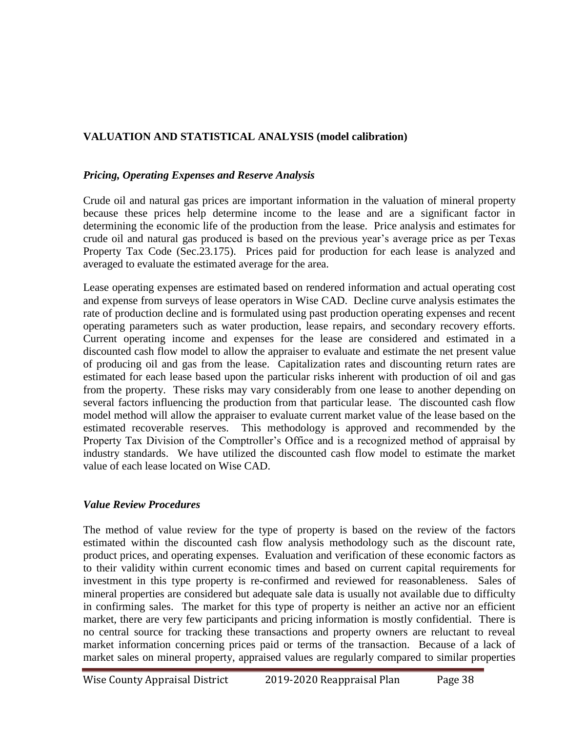# **VALUATION AND STATISTICAL ANALYSIS (model calibration)**

#### *Pricing, Operating Expenses and Reserve Analysis*

Crude oil and natural gas prices are important information in the valuation of mineral property because these prices help determine income to the lease and are a significant factor in determining the economic life of the production from the lease. Price analysis and estimates for crude oil and natural gas produced is based on the previous year's average price as per Texas Property Tax Code (Sec.23.175). Prices paid for production for each lease is analyzed and averaged to evaluate the estimated average for the area.

Lease operating expenses are estimated based on rendered information and actual operating cost and expense from surveys of lease operators in Wise CAD. Decline curve analysis estimates the rate of production decline and is formulated using past production operating expenses and recent operating parameters such as water production, lease repairs, and secondary recovery efforts. Current operating income and expenses for the lease are considered and estimated in a discounted cash flow model to allow the appraiser to evaluate and estimate the net present value of producing oil and gas from the lease. Capitalization rates and discounting return rates are estimated for each lease based upon the particular risks inherent with production of oil and gas from the property. These risks may vary considerably from one lease to another depending on several factors influencing the production from that particular lease. The discounted cash flow model method will allow the appraiser to evaluate current market value of the lease based on the estimated recoverable reserves. This methodology is approved and recommended by the Property Tax Division of the Comptroller's Office and is a recognized method of appraisal by industry standards. We have utilized the discounted cash flow model to estimate the market value of each lease located on Wise CAD.

### *Value Review Procedures*

The method of value review for the type of property is based on the review of the factors estimated within the discounted cash flow analysis methodology such as the discount rate, product prices, and operating expenses. Evaluation and verification of these economic factors as to their validity within current economic times and based on current capital requirements for investment in this type property is re-confirmed and reviewed for reasonableness. Sales of mineral properties are considered but adequate sale data is usually not available due to difficulty in confirming sales. The market for this type of property is neither an active nor an efficient market, there are very few participants and pricing information is mostly confidential. There is no central source for tracking these transactions and property owners are reluctant to reveal market information concerning prices paid or terms of the transaction. Because of a lack of market sales on mineral property, appraised values are regularly compared to similar properties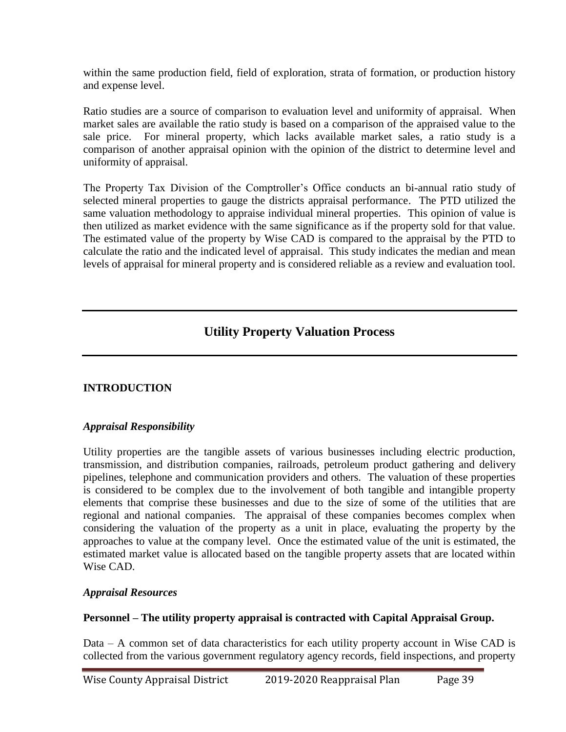within the same production field, field of exploration, strata of formation, or production history and expense level.

Ratio studies are a source of comparison to evaluation level and uniformity of appraisal. When market sales are available the ratio study is based on a comparison of the appraised value to the sale price. For mineral property, which lacks available market sales, a ratio study is a comparison of another appraisal opinion with the opinion of the district to determine level and uniformity of appraisal.

The Property Tax Division of the Comptroller's Office conducts an bi-annual ratio study of selected mineral properties to gauge the districts appraisal performance. The PTD utilized the same valuation methodology to appraise individual mineral properties. This opinion of value is then utilized as market evidence with the same significance as if the property sold for that value. The estimated value of the property by Wise CAD is compared to the appraisal by the PTD to calculate the ratio and the indicated level of appraisal. This study indicates the median and mean levels of appraisal for mineral property and is considered reliable as a review and evaluation tool.

# **Utility Property Valuation Process**

## **INTRODUCTION**

### *Appraisal Responsibility*

Utility properties are the tangible assets of various businesses including electric production, transmission, and distribution companies, railroads, petroleum product gathering and delivery pipelines, telephone and communication providers and others. The valuation of these properties is considered to be complex due to the involvement of both tangible and intangible property elements that comprise these businesses and due to the size of some of the utilities that are regional and national companies. The appraisal of these companies becomes complex when considering the valuation of the property as a unit in place, evaluating the property by the approaches to value at the company level. Once the estimated value of the unit is estimated, the estimated market value is allocated based on the tangible property assets that are located within Wise CAD.

### *Appraisal Resources*

### **Personnel – The utility property appraisal is contracted with Capital Appraisal Group.**

Data – A common set of data characteristics for each utility property account in Wise CAD is collected from the various government regulatory agency records, field inspections, and property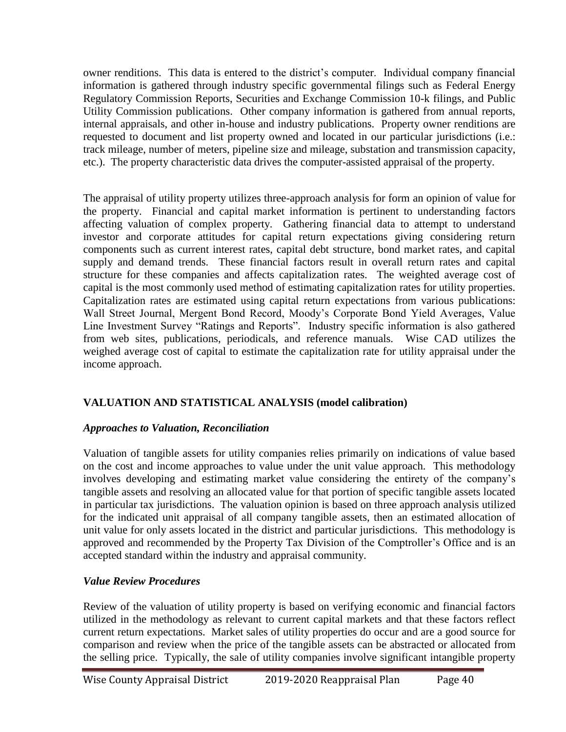owner renditions. This data is entered to the district's computer. Individual company financial information is gathered through industry specific governmental filings such as Federal Energy Regulatory Commission Reports, Securities and Exchange Commission 10-k filings, and Public Utility Commission publications. Other company information is gathered from annual reports, internal appraisals, and other in-house and industry publications. Property owner renditions are requested to document and list property owned and located in our particular jurisdictions (i.e.: track mileage, number of meters, pipeline size and mileage, substation and transmission capacity, etc.). The property characteristic data drives the computer-assisted appraisal of the property.

The appraisal of utility property utilizes three-approach analysis for form an opinion of value for the property. Financial and capital market information is pertinent to understanding factors affecting valuation of complex property. Gathering financial data to attempt to understand investor and corporate attitudes for capital return expectations giving considering return components such as current interest rates, capital debt structure, bond market rates, and capital supply and demand trends. These financial factors result in overall return rates and capital structure for these companies and affects capitalization rates. The weighted average cost of capital is the most commonly used method of estimating capitalization rates for utility properties. Capitalization rates are estimated using capital return expectations from various publications: Wall Street Journal, Mergent Bond Record, Moody's Corporate Bond Yield Averages, Value Line Investment Survey "Ratings and Reports". Industry specific information is also gathered from web sites, publications, periodicals, and reference manuals. Wise CAD utilizes the weighed average cost of capital to estimate the capitalization rate for utility appraisal under the income approach.

# **VALUATION AND STATISTICAL ANALYSIS (model calibration)**

### *Approaches to Valuation, Reconciliation*

Valuation of tangible assets for utility companies relies primarily on indications of value based on the cost and income approaches to value under the unit value approach. This methodology involves developing and estimating market value considering the entirety of the company's tangible assets and resolving an allocated value for that portion of specific tangible assets located in particular tax jurisdictions. The valuation opinion is based on three approach analysis utilized for the indicated unit appraisal of all company tangible assets, then an estimated allocation of unit value for only assets located in the district and particular jurisdictions. This methodology is approved and recommended by the Property Tax Division of the Comptroller's Office and is an accepted standard within the industry and appraisal community.

## *Value Review Procedures*

Review of the valuation of utility property is based on verifying economic and financial factors utilized in the methodology as relevant to current capital markets and that these factors reflect current return expectations. Market sales of utility properties do occur and are a good source for comparison and review when the price of the tangible assets can be abstracted or allocated from the selling price. Typically, the sale of utility companies involve significant intangible property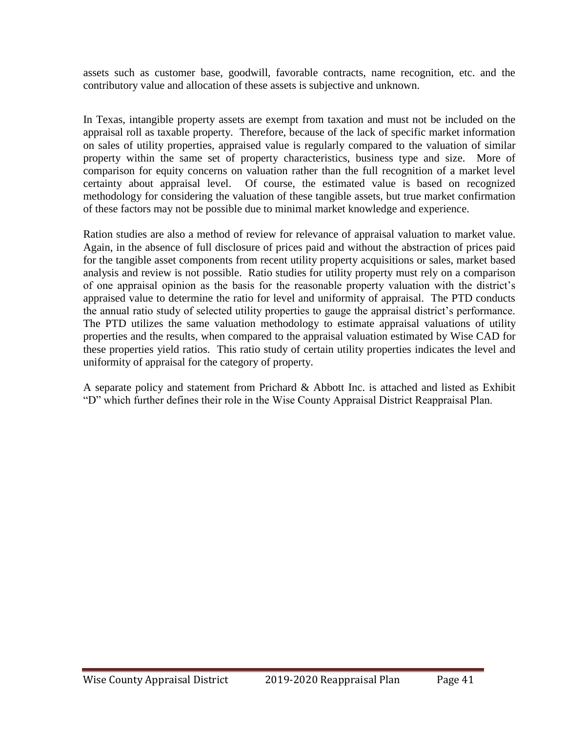assets such as customer base, goodwill, favorable contracts, name recognition, etc. and the contributory value and allocation of these assets is subjective and unknown.

In Texas, intangible property assets are exempt from taxation and must not be included on the appraisal roll as taxable property. Therefore, because of the lack of specific market information on sales of utility properties, appraised value is regularly compared to the valuation of similar property within the same set of property characteristics, business type and size. More of comparison for equity concerns on valuation rather than the full recognition of a market level certainty about appraisal level. Of course, the estimated value is based on recognized methodology for considering the valuation of these tangible assets, but true market confirmation of these factors may not be possible due to minimal market knowledge and experience.

Ration studies are also a method of review for relevance of appraisal valuation to market value. Again, in the absence of full disclosure of prices paid and without the abstraction of prices paid for the tangible asset components from recent utility property acquisitions or sales, market based analysis and review is not possible. Ratio studies for utility property must rely on a comparison of one appraisal opinion as the basis for the reasonable property valuation with the district's appraised value to determine the ratio for level and uniformity of appraisal. The PTD conducts the annual ratio study of selected utility properties to gauge the appraisal district's performance. The PTD utilizes the same valuation methodology to estimate appraisal valuations of utility properties and the results, when compared to the appraisal valuation estimated by Wise CAD for these properties yield ratios. This ratio study of certain utility properties indicates the level and uniformity of appraisal for the category of property.

A separate policy and statement from Prichard & Abbott Inc. is attached and listed as Exhibit "D" which further defines their role in the Wise County Appraisal District Reappraisal Plan.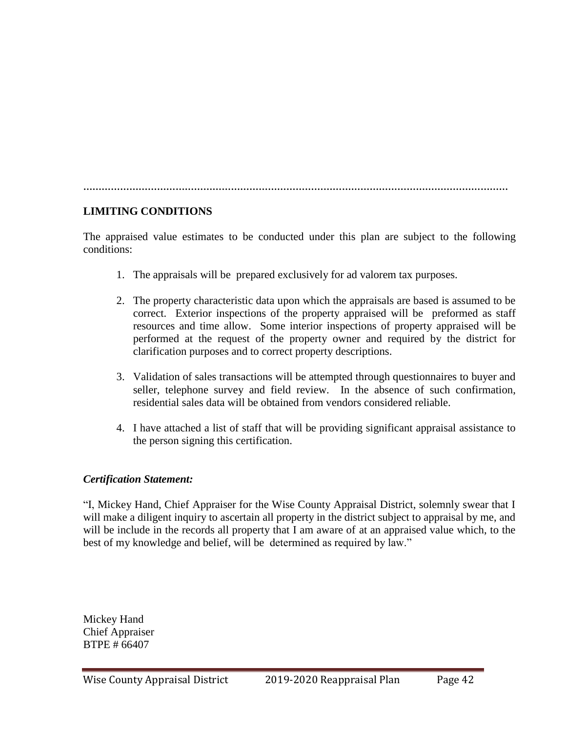**…………………………………………………………………………………………………………………………**

### **LIMITING CONDITIONS**

The appraised value estimates to be conducted under this plan are subject to the following conditions:

- 1. The appraisals will be prepared exclusively for ad valorem tax purposes.
- 2. The property characteristic data upon which the appraisals are based is assumed to be correct. Exterior inspections of the property appraised will be preformed as staff resources and time allow. Some interior inspections of property appraised will be performed at the request of the property owner and required by the district for clarification purposes and to correct property descriptions.
- 3. Validation of sales transactions will be attempted through questionnaires to buyer and seller, telephone survey and field review. In the absence of such confirmation, residential sales data will be obtained from vendors considered reliable.
- 4. I have attached a list of staff that will be providing significant appraisal assistance to the person signing this certification.

### *Certification Statement:*

"I, Mickey Hand, Chief Appraiser for the Wise County Appraisal District, solemnly swear that I will make a diligent inquiry to ascertain all property in the district subject to appraisal by me, and will be include in the records all property that I am aware of at an appraised value which, to the best of my knowledge and belief, will be determined as required by law."

Mickey Hand Chief Appraiser BTPE # 66407